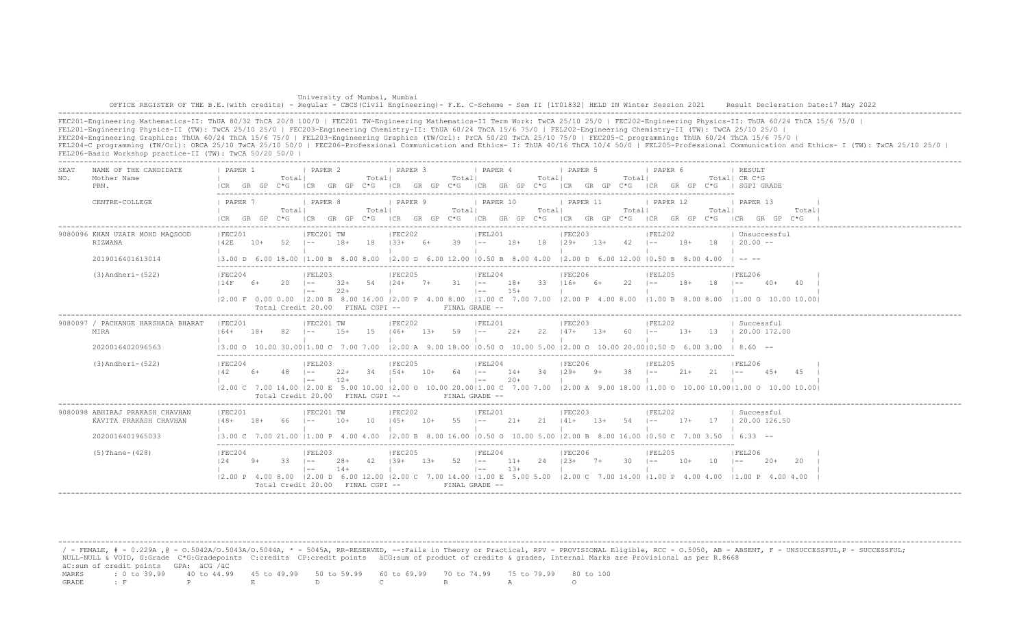| University of Mumbai, Mumbai                                                                                                                                                       |  |
|------------------------------------------------------------------------------------------------------------------------------------------------------------------------------------|--|
| OFFICE REGISTER OF THE B.E. (with credits) - Reqular - CBCS (Civil Engineering) - F.E. C-Scheme - Sem II [1T01832] HELD IN Winter Session 2021 Result Decleration Date:17 May 2022 |  |
|                                                                                                                                                                                    |  |

FEC201-Engineering Mathematics-II: ThUA 80/32 ThCA 20/8 100/0 | FEC201 TW-Engineering Mathematics-II Term Work: TwCA 25/10 25/0 | FEC202-Engineering Physics-II: ThUA 60/24 ThCA 15/6 75/0 | FEL201-Engineering Physics-II (TW): TwCA 25/10 25/0 | FEC203-Engineering Chemistry-II: ThUA 60/24 ThCA 15/6 75/0 | FEL202-Engineering Chemistry-II (TW): TwCA 25/10 25/0 | FEC204-Engineering Graphics: ThUA 60/24 ThCA 15/6 75/0 | FEL203-Engineering Graphics (TW/Orl): PrCA 50/20 TwCA 25/10 75/0 | FEC205-C programming: ThUA 60/24 ThCA 15/6 75/0 | FEL204-C programming (TW/Orl): ORCA 25/10 TwCA 25/10 50/0 | FEC206-Professional Communication and Ethics- I: ThUA 40/16 ThCA 10/4 50/0 | FEL205-Professional Communication and Ethics- I (TW): TwCA 25/10 25/0 | FEL206-Basic Workshop practice-II (TW): TwCA 50/20 50/0 |

| SEA.<br>NO. | NAME OF THE CANDIDATE<br>Mother Name<br>PRN.              | PAPER 1<br>I CR                      | GR GP | Totall      | <b>I PAPER 2</b><br>C*G ICR GR GP C*G                  |                | Totall    | <b>I PAPER 3</b>                |        | Total      | <i>I</i> PAPER 4                     |                | Totall | I PAPER 5<br>ICR GR GP C*G ICR GR GP C*G ICR GR GP C*G                                                                                                                                                                                                                                                                                                   |       | Totall         | 1 PAPER 6                    |        |       | RESULT<br>Total  CR C*G<br>ICR GR GP C*G I SGPI GRADE                                                                                                                    |       |
|-------------|-----------------------------------------------------------|--------------------------------------|-------|-------------|--------------------------------------------------------|----------------|-----------|---------------------------------|--------|------------|--------------------------------------|----------------|--------|----------------------------------------------------------------------------------------------------------------------------------------------------------------------------------------------------------------------------------------------------------------------------------------------------------------------------------------------------------|-------|----------------|------------------------------|--------|-------|--------------------------------------------------------------------------------------------------------------------------------------------------------------------------|-------|
|             | CENTRE-COLLEGE                                            | 1 PAPER 7<br>$ICR$ $GR$ $GP$ $C*G$   |       | Totall      | I PAPER 8                                              |                | Totall    | PAPER 9                         |        | Totall     | I PAPER 10                           |                | Totall | 1 PAPER 11<br>$ CR$ GR GP $C*G$ $ CR$ GR GP $C*G$ $ CR$ GR GP $C*G$ $ CR$ GR GP $C*G$                                                                                                                                                                                                                                                                    |       | Total          | 1 PAPER 12<br>ICR GR GP C*G  |        | Total | 1 PAPER 13<br>ICR GR GP C*G                                                                                                                                              | Total |
|             | 9080096 KHAN UZAIR MOHD MAQSOOD<br>RIZWANA                | IFEC201<br>142E                      | 10+   | 52          | IFEC201 TW<br>$ -$                                     | $18+$          | 18        | IFEC202<br>$133+$               | 6+     | $39 - 1 -$ | IFEL201                              | 18+ 18 129+    |        | FEC203                                                                                                                                                                                                                                                                                                                                                   |       | $13+ 42$ $1--$ | FEL202                       |        |       | Unsuccessful<br>$18+$ 18 $120.00$ --                                                                                                                                     |       |
|             | 2019016401613014                                          | 13.00 D 6.00 18.00 11.00 B 8.00 8.00 |       |             |                                                        |                |           |                                 |        |            |                                      |                |        | $\vert$ 2.00 D 6.00 12.00 $\vert$ 0.50 B 8.00 4.00 $\vert$ 2.00 D 6.00 12.00 $\vert$ 0.50 B 8.00 4.00                                                                                                                                                                                                                                                    |       |                |                              |        |       | $1 - - - - -$                                                                                                                                                            |       |
|             | $(3)$ Andheri- $(522)$                                    | IFEC204<br>14F                       | 6+    | $20 \t - -$ | IFEL203<br>$1 - -$                                     | $2.2+$         |           | IFEC205<br>$32+ 54 + 24+ 7+ 31$ |        |            | FEL204<br>$\vert - - \vert$          | $1.5+$         |        | IFEC206<br>18+ 33 116+ 6+                                                                                                                                                                                                                                                                                                                                |       | $22 - 1 = -$   | IFEL205                      | 18+    | 18    | <b>IFEL206</b><br>$1 - -$<br>40+                                                                                                                                         | 40    |
|             |                                                           |                                      |       |             | Total Credit 20.00 FINAL CGPI --                       |                |           |                                 |        |            | $FTNAI, GRADE =$                     |                |        | $(2.00 \text{ F } 0.00 \text{ } 0.00 \text{ }   2.00 \text{ B } 8.00 \text{ } 16.00 \text{ }   2.00 \text{ P } 4.00 \text{ } 8.00 \text{ } 11.00 \text{ C } 7.00 \text{ } 7.00 \text{ } 7.00 \text{ P } 4.00 \text{ } 8.00 \text{ } 8.00 \text{ } 8.00 \text{ } 8.00 \text{ } 8.00 \text{ } 8.00 \text{ } 8.00 \text{ } 8.00 \text{ } 8.00 \text{ } 8.0$ |       |                |                              |        |       | $11.00$ O $10.00$ 10.001                                                                                                                                                 |       |
|             | 9080097 / PACHANGE HARSHADA BHARAT<br>MIRA                | IFEC201<br>$164+$                    | $18+$ |             | IFEC201 TW                                             | $1.5+$         | -15       | IFEC202<br>$146+$               | $1.3+$ | 59         | IFEL201<br>$1 - -$                   | - 22+          | 22     | IFEC203<br>$147+$ 1.3+                                                                                                                                                                                                                                                                                                                                   |       | -60            | IFEL202<br>$1 - -$           | $1.3+$ | 13    | Successful<br>120.00172.00                                                                                                                                               |       |
|             | 2020016402096563                                          | 13.00 O 10.00 30.0011.00 C           |       |             |                                                        |                | 7.00 7.00 |                                 |        |            |                                      |                |        | $12.00$ A $9.00$ 18.00 10.50 O 10.00 5.00 12.00 O 10.00 20.0010.50 D 6.00 3.00                                                                                                                                                                                                                                                                           |       |                |                              |        |       | $18.60 - -$                                                                                                                                                              |       |
|             | $(3)$ Andheri- $(522)$                                    | IFEC204<br>142                       | 6+    | $48$ $1--$  | IFEL203<br>$1 - -$<br>Total Credit 20.00 FINAL CGPI -- | $22+$<br>$12+$ | -34       | IFEC205<br>$154+$               | $10+$  | $64$ $1--$ | IFEL204<br>$1 - -$<br>FINAL GRADE -- | $14+$<br>$20+$ | 34     | IFEC206<br>$129+$ 9+                                                                                                                                                                                                                                                                                                                                     |       | 38             | IFEL205<br>$1 - -$           | $21+$  | 21    | IFEL206<br>$\vert$ $-$<br>$4.5+$<br> 2.00 C 7.00 14.00  2.00 E 5.00 10.00  2.00 O 10.00 20.00 1.00 C 7.00 7.00  2.00 A 9.00 18.00  1.00 O 10.00 10.00 1.00 O 10.00 10.00 | 4.5   |
|             | 9080098 ABHIRAJ PRAKASH CHAVHAN<br>KAVITA PRAKASH CHAVHAN | IFEC201<br>$148+$                    | $18+$ | 66          | IFEC201 TW<br>$1 - -$                                  | $10+$          | 10        | IFEC202<br>$145+$               | $10+$  | 55         | IFEL201<br>$\vert - -$               | 21+            | 21     | IFEC203<br>$141+$                                                                                                                                                                                                                                                                                                                                        | $13+$ | 54             | IFEL202<br>$\vert - - \vert$ | $17+$  | -17   | Successful<br>  20.00 126.50                                                                                                                                             |       |
|             | 2020016401965033                                          | 13.00 C 7.00 21.00 11.00 P 4.00 4.00 |       |             |                                                        |                |           |                                 |        |            |                                      |                |        | $12.00 B$ 8.00 16.00 10.50 0 10.00 5.00 12.00 B 8.00 16.00 10.50 C 7.00 3.50                                                                                                                                                                                                                                                                             |       |                |                              |        |       | $16.33 - -$                                                                                                                                                              |       |
|             | $(5)$ Thane- $(428)$                                      | FEC204<br>124                        | $9+$  | $33 \t - -$ | IFEL203<br>$\vert - - \vert$                           | 28+<br>$14+$   | - 42      | FEC205<br>$139+$                | 13+    | $52 - 1 -$ | FEL204<br>$\vert - - \vert$          | 11+<br>$13+$   | 24     | FEC206<br>$123+7+$                                                                                                                                                                                                                                                                                                                                       |       | $30 \t - -$    | IFEL205                      | 10+    | 10    | IFEL206<br>$1 - -$<br>$20+$                                                                                                                                              |       |
|             |                                                           |                                      |       |             | Total Credit $20.00$ FINAL CGPI $-$                    |                |           |                                 |        |            | FINAL GRADE --                       |                |        | $(2.00 \text{ P } 4.00 \text{ 8.00} \text{ }   2.00 \text{ D } 6.00 \text{ } 12.00 \text{ }   2.00 \text{ C } 7.00 \text{ } 14.00 \text{ }   1.00 \text{ E } 5.00 \text{ } 5.00 \text{ } 12.00 \text{ C } 7.00 \text{ } 14.00 \text{ }   1.00 \text{ P } 4.00 \text{ } 4.00 \text{ } 14.00 \text{ }   1.00 \text{ P } 4.00 \text{ } 14.00 \text{ }   1.$ |       |                |                              |        |       | $11.00 \text{ P}$ 4.00 4.00                                                                                                                                              |       |

 / - FEMALE, # - 0.229A ,@ - O.5042A/O.5043A/O.5044A, \* - 5045A, RR-RESERVED, --:Fails in Theory or Practical, RPV - PROVISIONAL Eligible, RCC - O.5050, AB - ABSENT, F - UNSUCCESSFUL,P - SUCCESSFUL; NULL-NULL & VOID, G:Grade C\*G:Gradepoints C:credits CP:credit points äCG:sum of product of credits & grades, Internal Marks are Provisional as per R.8668 äC:sum of credit points GPA: äCG /äC MARKS : 0 to 39.99 40 to 44.99 45 to 49.99 50 to 59.99 60 to 69.99 70 to 74.99 75 to 79.99 80 to 100 GRADE : F P E D C B A O

-------------------------------------------------------------------------------------------------------------------------------------------------------------------------------------------------------------------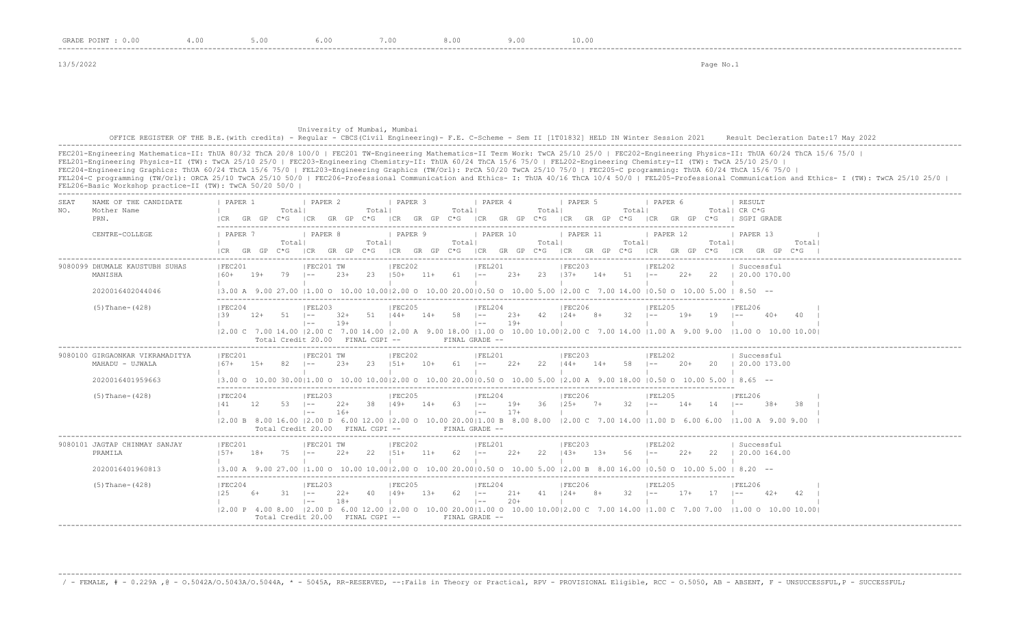## University of Mumbai, Mumbai OFFICE REGISTER OF THE B.E.(with credits) - Regular - CBCS(Civil Engineering)- F.E. C-Scheme - Sem II [1T01832] HELD IN Winter Session 2021 Result Decleration Date:17 May 2022 -------------------------------------------------------------------------------------------------------------------------------------------------------------------------------------------------------------------

FEC201-Engineering Mathematics-II: ThUA 80/32 ThCA 20/8 100/0 | FEC201 TW-Engineering Mathematics-II Term Work: TwCA 25/10 25/0 | FEC202-Engineering Physics-II: ThUA 60/24 ThCA 15/6 75/0 | FEL201-Engineering Physics-II (TW): TwCA 25/10 25/0 | FEC203-Engineering Chemistry-II: ThUA 60/24 ThCA 15/6 75/0 | FEL202-Engineering Chemistry-II (TW): TwCA 25/10 25/0 | FEC204-Engineering Graphics: ThUA 60/24 ThCA 15/6 75/0 | FEL203-Engineering Graphics (TW/Orl): PrCA 50/20 TwCA 25/10 75/0 | FEC205-C programming: ThUA 60/24 ThCA 15/6 75/0 | FEL204-C programming (TW/Orl): ORCA 25/10 TwCA 25/10 50/0 | FEC206-Professional Communication and Ethics- I: ThUA 40/16 ThCA 10/4 50/0 | FEL205-Professional Communication and Ethics- I (TW): TwCA 25/10 25/0 | FEL206-Basic Workshop practice-II (TW): TwCA 50/20 50/0 | -------------------------------------------------------------------------------------------------------------------------------------------------------------------------------------------------------------------

| SEAT<br>NAME OF THE CANDIDATE<br>Mother Name<br>NO.<br>PRN.            | <b>I PAPER 2</b><br>I PAPER 3<br><i>I</i> PAPER 4<br>I PAPER 5<br>PAPER 1<br>I PAPER 6<br><b>I RESULT</b><br>Totall<br>Totall<br>Totall<br>Total! CR C*G<br>Totall<br>Totall<br>GR GP C*G  CR GR GP C*G  CR GR GP C*G  CR GR GP C*G  CR GR GP C*G  CR GP C*G  CR GP C*G   SGPI GRADE                                                                                                                                                                                             |
|------------------------------------------------------------------------|----------------------------------------------------------------------------------------------------------------------------------------------------------------------------------------------------------------------------------------------------------------------------------------------------------------------------------------------------------------------------------------------------------------------------------------------------------------------------------|
| CENTRE-COLLEGE                                                         | PAPER 9<br>  PAPER 10<br>PAPER 11<br>I PAPER 7<br>  PAPER 8<br>  PAPER 12<br>PAPER 13<br>Totall<br>Totall<br>Totall<br>Totall<br>Totall<br>Totall<br>Total<br>ICR GR GP C*G ICR GR GP C*G ICR GR GP C*G ICR GR GP C*G ICR GP C*G ICR GP C*G ICR GR GP C*G<br>$ICR$ GR GP $C*G$                                                                                                                                                                                                   |
| 9080099 DHUMALE KAUSTUBH SUHAS<br>MANISHA<br>2020016402044046          | IFEC201 TW<br>IFEL201<br>IFEC203<br>IFEL202<br>IFEC201<br>IFEC202<br>  Successful<br>$2.3+$<br>23 150+ 11+ 61 1-- 23+ 23 137+ 14+ 51 1-- 22+ 22 120.00170.00<br>$160+$ 19+<br>79<br>$\vert - - \vert$<br>$13.00$ A $9.00$ $27.00$ $11.00$ O $10.00$ $10.0012.00$ O $10.00$ $20.0010.50$ O $10.00$ 5.00 $12.00$ C $7.00$ $14.00$ $10.50$ O $10.00$ 5.00 $1$ 8.50 $-$                                                                                                              |
| $(5)$ Thane- $(428)$                                                   | IFEC206<br>IFEC204<br>IFEL203<br>IFEC205<br>IFEL204<br><b>IFEL206</b><br>IFEL205<br>$23+ 42 + 24+ 8+$<br>51   44+<br>$14+ 58$ $1--$<br>$-32$ $1--$<br>139<br>$12+$<br>$51 - -$<br>$32+$<br>$19+$<br>19<br>40<br>$1 - -$<br>$40+$<br>$19+$<br>$\vert - - \vert$<br>$19+$<br>$1 - -$<br>12.00 C 7.00 14.00 12.00 C 7.00 14.00 12.00 A 9.00 18.00 11.00 O 10.00 10.0012.00 C 7.00 14.00 11.00 A 9.00 9.00 11.00 O 10.00 10.00<br>Total Credit 20.00 FINAL CGPI --<br>FINAL GRADE -- |
| 9080100 GIRGAONKAR VIKRAMADITYA<br>MAHADU - UJWALA<br>2020016401959663 | FEC201 TW<br> FEC202<br> FEL201<br> FEC203<br> FEL202<br> FEC201<br>  Successful<br>$2.3+$<br>23<br>$151+ 10+$<br>$61 \t - -$<br>22+ 22 144+ 14+ 58 1--<br>$2.0+$<br>20 1 20.00 173.00<br>$167+$ 15+<br>$82 \t - -$<br>$13.00$ o $10.00$ 30.0011.00 o $10.00$ $10.0012.00$ o $10.00$ $20.0010.50$ o $10.00$ 5.00 $12.00$ A $9.00$ $18.00$ $10.50$ o $10.00$ 5.00 i $8.65$ --                                                                                                     |
| $(5)$ Thane- $(428)$                                                   | IFEC205<br>IFEC206<br><b>IFEL206</b><br>IFEC204<br>IFEL203<br>IFEL204<br>IFEL205<br>$38$ $ 49+$<br>$14+ 63 + -$<br>$36$ $ 25+$ 7+ 32 $ -$ 14+ 14<br>141<br>12<br>$53 \t - -$<br>$22+$<br>$19+$<br>$.38+$<br>$1 - -$<br>$16+$<br>$\vert - -$<br>$17 +$<br>$1 - -$<br>12.00 B 8.00 16.00 12.00 D 6.00 12.00 12.00 O 10.00 20.0011.00 B 8.00 8.00 12.00 C 7.00 14.00 11.00 D 6.00 6.00 11.00 A 9.00 9.00<br>Total Credit 20.00 FINAL CGPI --<br>FINAL GRADE --                      |
| 9080101 JAGTAP CHINMAY SANJAY<br>PRAMILA<br>2020016401960813           | FEC201 TW<br> FEC202<br> FEL201<br> FEC201<br> FEC203<br> FEL202<br>  Successful<br>22<br>$151+$ 11+<br>75<br>$22+$<br>$62$ $1- 22+$<br>$22 \t143+ \t13+$<br>$56$ $1--$<br>$22+$<br>22   20.00 164.00<br>$1.57+$<br>18+<br>$\vert - -$<br>$13.00$ A $9.00$ 27.00 $11.00$ O $10.00$ 10.00 $12.00$ O $10.00$ 20.0010.50 O $10.00$ 5.00 $12.00$ B $8.00$ 16.00 $10.50$ O $10.00$ 5.00 $1$ $8.20$ --                                                                                 |
| $(5)$ Thane- $(428)$                                                   | IFEC206<br>IFEC204<br>IFEL203<br>IFEC205<br>IFEL204<br>IFEL205<br>IFEL206<br>$21+ 41$ $124+ 8+$<br>125<br>$31 - 1 -$<br>40 149+<br>$13+$<br>$62$ $1--$<br>$32 - 1 =$<br>$17+$<br>17<br>6+<br>$22+$<br>$42+$<br>42<br>$1 - -$<br>$18+$<br>$\vert - -$<br>$20+$<br>$1 - -$<br>12.00 P 4.00 8.00 12.00 D 6.00 12.00 12.00 O 10.00 20.0011.00 O 10.00 10.0012.00 C 7.00 14.00 11.00 C 7.00 7.00 11.00 O 10.00 10.00<br>Total Credit 20.00 FINAL CGPI --<br>FINAL GRADE --            |

-------------------------------------------------------------------------------------------------------------------------------------------------------------------------------------------------------------------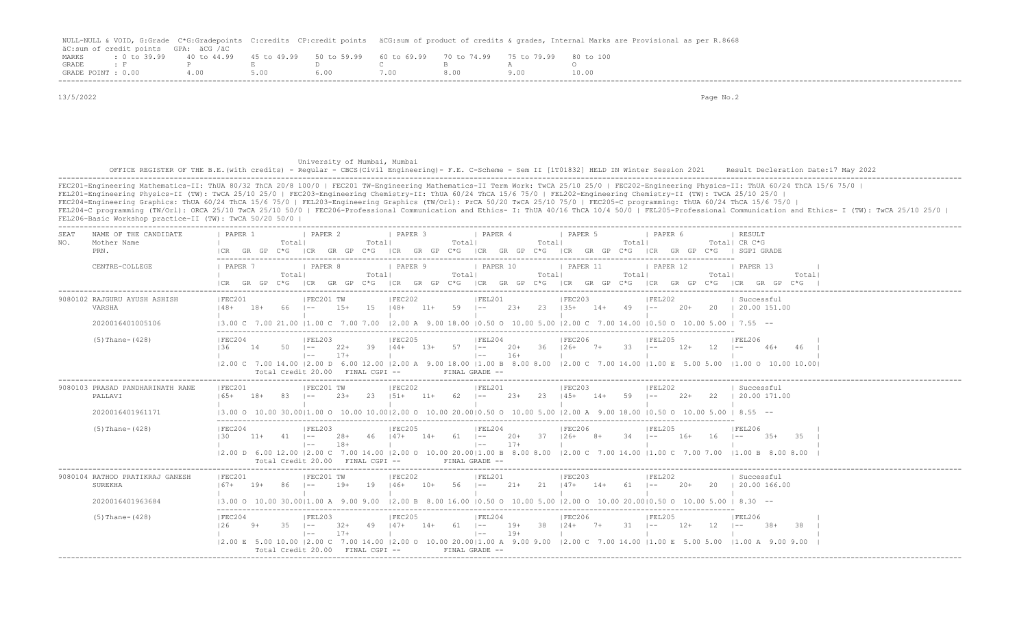|                    |                                      |             |                                                           |       | NULL-NULL & VOID, G:Grade C*G:Gradepoints C:credits CP:credit points äCG:sum of product of credits & qrades, Internal Marks are Provisional as per R.8668 |
|--------------------|--------------------------------------|-------------|-----------------------------------------------------------|-------|-----------------------------------------------------------------------------------------------------------------------------------------------------------|
|                    | äC:sum of credit points GPA: äCG /äC |             |                                                           |       |                                                                                                                                                           |
| MARKS              | $: 0 \text{ to } 39.99$ 40 to 44.99  | 45 to 49.99 | 50 to 59.99 60 to 69.99 70 to 74.99 75 to 79.99 80 to 100 |       |                                                                                                                                                           |
| <b>GRADE</b>       |                                      |             |                                                           |       |                                                                                                                                                           |
| GRADE POINT : 0.00 |                                      | 5.00        | 5.00.                                                     | 8 N.O |                                                                                                                                                           |
|                    |                                      |             |                                                           |       |                                                                                                                                                           |

Total Credit 20.00 FINAL CGPI -- FINAL GRADE --

 13/5/2022 Page No.2 University of Mumbai, Mumbai OFFICE REGISTER OF THE B.E.(with credits) - Regular - CBCS(Civil Engineering)- F.E. C-Scheme - Sem II [1T01832] HELD IN Winter Session 2021 Result Decleration Date:17 May 2022 ------------------------------------------------------------------------------------------------------------------------------------------------------------------------------------------------------------------- FEC201-Engineering Mathematics-II: ThUA 80/32 ThCA 20/8 100/0 | FEC201 TW-Engineering Mathematics-II Term Work: TwCA 25/10 25/0 | FEC202-Engineering Physics-II: ThUA 60/24 ThCA 15/6 75/0 | FEL201-Engineering Physics-II (TW): TwCA 25/10 25/0 | FEC203-Engineering Chemistry-II: ThUA 60/24 ThCA 15/6 75/0 | FEL202-Engineering Chemistry-II (TW): TwCA 25/10 25/0 | FEC204-Engineering Graphics: ThUA 60/24 ThCA 15/6 75/0 | FEL203-Engineering Graphics (TW/Orl): PrCA 50/20 TwCA 25/10 75/0 | FEC205-C programming: ThUA 60/24 ThCA 15/6 75/0 | FEL204-C programming (TW/Orl): ORCA 25/10 TwCA 25/10 50/0 | FEC206-Professional Communication and Ethics- I: ThUA 40/16 ThCA 10/4 50/0 | FEL205-Professional Communication and Ethics- I (TW): TwCA 25/10 25/0 | FEL206-Basic Workshop practice-II (TW): TwCA 50/20 50/0 | ------------------------------------------------------------------------------------------------------------------------------------------------------------------------------------------------------------------- SEAT NAME OF THE CANDIDATE | PAPER 1 | PAPER 2 | PAPER 3 | PAPER 4 | PAPER 5 | PAPER 6 | RESULT NO. Mother Name | Total| Total| Total| Total| Total| Total| CR C\*G PRN. |CR GR GP C\*G |CR GR GP C\*G |CR GR GP C\*G |CR GR GP C\*G |CR GR GP C\*G |CR GR GP C\*G | SGPI GRADE ------------------------------------------------------------------------------------------------------------------------- CENTRE-COLLEGE | PAPER 7 | PAPER 8 | PAPER 9 | PAPER 10 | PAPER 11 | PAPER 12 | PAPER 13 | | Total| Total| Total| Total| Total| Total| Total| |CR GR GP C\*G |CR GR GP C\*G |CR GR GP C\*G |CR GR GP C\*G |CR GR GP C\*G |CR GR GP C\*G |CR GR GP C\*G | ------------------------------------------------------------------------------------------------------------------------------------------------------------------------------------------------------------------- 91981 RAJGURU AYUSH ASHISH | FEC201 | FEC201 TW | FEC202 | FEL201 | FEC203 | FEL202 | Successful<br>1908 | TREC201 | FEC201 | FEC201 | Successful | Section | FEC202 | FEC203 | FEL202 | Successful | Successful | VARSHA |48+ 18+ 66 |-- 15+ 15 |48+ 11+ 59 |-- 23+ 23 |35+ 14+ 49 |-- 20+ 20 | 20.00 151.00 | | | | | | | 2020016401005106 |3.00 C 7.00 21.00 |1.00 C 7.00 7.00 |2.00 A 9.00 18.00 |0.50 O 10.00 5.00 |2.00 C 7.00 14.00 |0.50 O 10.00 5.00 | 7.55 -- ------------------------------------------------------------------------------------------------------------------------- (5)Thane-(428) |FEC204 |FEL203 |FEC205 |FEL204 |FEC206 |FEL205 |FEL206 | |36 14 50 |-- 22+ 39 |44+ 13+ 57 |-- 20+ 36 |26+ 7+ 33 |-- 12+ 12 |-- 46+ 46 | | |-- 17+ | |-- 16+ | | | | |2.00 C 7.00 14.00 |2.00 D 6.00 12.00 |2.00 A 9.00 18.00 |1.00 B 8.00 8.00 |2.00 C 7.00 14.00 |1.00 E 5.00 5.00 |1.00 O 10.00 10.00| Total Credit 20.00 FINAL CGPI -- FINAL GRADE -- ------------------------------------------------------------------------------------------------------------------------------------------------------------------------------------------------------------------- 9080103 PRASAD PANDHARINATH RANE | FEC201 | FEC201 TW | FEC202 | FEL201 | FEC203 | FEL202 | Successful PALLAVI |65+ 18+ 83 |-- 23+ 23 |51+ 11+ 62 |-- 23+ 23 |45+ 14+ 59 |-- 22+ 22 | 20.00 171.00 | | | | | | | 2020016401961171 |3.00 O 10.00 30.00|1.00 O 10.00 10.00|2.00 O 10.00 20.00|0.50 O 10.00 5.00 |2.00 A 9.00 18.00 |0.50 O 10.00 5.00 | 8.55 -- ------------------------------------------------------------------------------------------------------------------------- (5)Thane-(428) |FEC204 |FEL203 |FEC205 |FEL204 |FEC206 |FEL205 |FEL206 | |30 11+ 41 |-- 28+ 46 |47+ 14+ 61 |-- 20+ 37 |26+ 8+ 34 |-- 16+ 16 |-- 35+ 35 | | |-- 18+ | |-- 17+ | | | | |2.00 D 6.00 12.00 |2.00 C 7.00 14.00 |2.00 O 10.00 20.00|1.00 B 8.00 8.00 |2.00 C 7.00 14.00 |1.00 C 7.00 7.00 |1.00 B 8.00 8.00 | Total Credit 20.00 FINAL CGPI -- FINAL GRADE -- ------------------------------------------------------------------------------------------------------------------------------------------------------------------------------------------------------------------- 9080104 RATHOD PRATIKRAJ GANESH |FEC201 |FEC201 TW |FEC202 |FEL201 |FEC203 |FEL202 | Successful SUREKHA |67+ 19+ 86 |-- 19+ 19 |46+ 10+ 56 |-- 21+ 21 |47+ 14+ 61 |-- 20+ 20 | 20.00 166.00 | | | | | | | 2020016401963684 |3.00 O 10.00 30.00|1.00 A 9.00 9.00 |2.00 B 8.00 16.00 |0.50 O 10.00 5.00 |2.00 O 10.00 20.00|0.50 O 10.00 5.00 | 8.30 -- ------------------------------------------------------------------------------------------------------------------------- (5)Thane-(428) |FEC204 |FEL203 |FEC205 |FEL204 |FEC206 |FEL205 |FEL206 | |26 9+ 35 |-- 32+ 49 |47+ 14+ 61 |-- 19+ 38 |24+ 7+ 31 |-- 12+ 12 |-- 38+ 38 | | |-- 17+ | |-- 19+ | | | | |2.00 E 5.00 10.00 |2.00 C 7.00 14.00 |2.00 O 10.00 20.00|1.00 A 9.00 9.00 |2.00 C 7.00 14.00 |1.00 E 5.00 5.00 |1.00 A 9.00 9.00 |

-------------------------------------------------------------------------------------------------------------------------------------------------------------------------------------------------------------------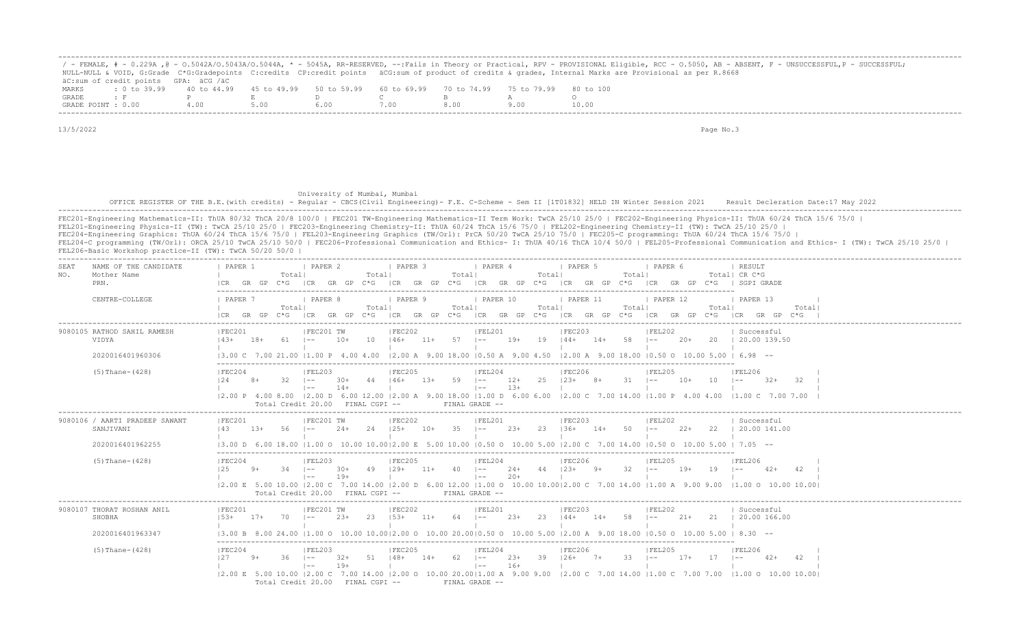|                    |                                      |  |                                                                       |     |  | ' - FEMALE, # - 0.229A ,@ - 0.5042A/0.5043A/0.5044A, * - 5045A, RR-RESERVED, --:Fails in Theory or Practical, RPV - PROVISIONAL Eligible, RCC - 0.5050, AB - ABSENT, F - UNSUCCESSFUL,P - SUCCESSFUL; |
|--------------------|--------------------------------------|--|-----------------------------------------------------------------------|-----|--|-------------------------------------------------------------------------------------------------------------------------------------------------------------------------------------------------------|
|                    |                                      |  |                                                                       |     |  | NULL-NULL & VOID, G:Grade C*G:Gradepoints C:credits CP:credit points äCG:sum of product of credits & qrades, Internal Marks are Provisional as per R.8668                                             |
|                    | äC:sum of credit points GPA: äCG /äC |  |                                                                       |     |  |                                                                                                                                                                                                       |
| MARKS              | $\pm$ 0 to 39.99 40 to 44.99         |  | 45 to 49.99 50 to 59.99 60 to 69.99 70 to 74.99 75 to 79.99 80 to 100 |     |  |                                                                                                                                                                                                       |
| GRADE              |                                      |  |                                                                       |     |  |                                                                                                                                                                                                       |
| GRADE POINT : 0.00 |                                      |  |                                                                       | .00 |  | 10.00                                                                                                                                                                                                 |

## University of Mumbai, Mumbai OFFICE REGISTER OF THE B.E.(with credits) - Regular - CBCS(Civil Engineering) - F.E. C-Scheme - Sem II [1T01832] HELD IN Winter Session 2021 Result Decleration Date:17 May 2022 -------------------------------------------------------------------------------------------------------------------------------------------------------------------------------------------------------------------

FEC201-Engineering Mathematics-II: ThUA 80/32 ThCA 20/8 100/0 | FEC201 TW-Engineering Mathematics-II Term Work: TwCA 25/10 25/0 | FEC202-Engineering Physics-II: ThUA 60/24 ThCA 15/6 75/0 | FEL201-Engineering Physics-II (TW): TwCA 25/10 25/0 | FEC203-Engineering Chemistry-II: ThUA 60/24 ThCA 15/6 75/0 | FEL202-Engineering Chemistry-II (TW): TwCA 25/10 25/0 | FEC204-Engineering Graphics: ThUA 60/24 ThCA 15/6 75/0 | FEL203-Engineering Graphics (TW/Orl): PrCA 50/20 TwCA 25/10 75/0 | FEC205-C programming: ThUA 60/24 ThCA 15/6 75/0 | FEL204-C programming (TW/Orl): ORCA 25/10 TwCA 25/10 50/0 | FEC206-Professional Communication and Ethics- I: ThUA 40/16 ThCA 10/4 50/0 | FEL205-Professional Communication and Ethics- I (TW): TwCA 25/10 25/0 | FEL206-Basic Workshop practice-II (TW): TwCA 50/20 50/0 |

| NAME OF THE CANDIDATE<br>SEAT<br>Mother Name<br>NO.<br>PRN.     | I PAPER 2<br>  PAPER 3<br>  PAPER 4<br>I PAPER 6<br>PAPER 1<br>  PAPER 5<br>  RESULT<br>Total <br>Totall<br>Totall<br>Totall<br>Totall<br>Total  CR C*G<br>$C*G$ $ CR$ $GR$ $GP$ $C*G$<br>ICR GR GP C*G<br>ICR GR GP C*G ICR GR GP<br>GR GP C*G   SGPI GRADE<br>GR GP<br>$C * G$<br> CR                                                                                                                                                                                                                                        |
|-----------------------------------------------------------------|--------------------------------------------------------------------------------------------------------------------------------------------------------------------------------------------------------------------------------------------------------------------------------------------------------------------------------------------------------------------------------------------------------------------------------------------------------------------------------------------------------------------------------|
| CENTRE-COLLEGE                                                  | I PAPER 7<br><i>I</i> PAPER 8<br>I PAPER 9<br>  PAPER 10<br>  PAPER 11<br><b>I PAPER 12</b><br>I PAPER 13<br>Totall<br>Totall<br>Totall<br>Totall<br>Totall<br>Total <br>Total<br>C*G ICR GR GP C*G ICR GR GP C*G ICR GR GP C*G ICR GR GP C*G ICR GP C*G ICR GP C*G ICR GR GP C*G<br>ICR GR GP                                                                                                                                                                                                                                 |
| 9080105 RATHOD SAHIL RAMESH<br>VIDYA<br>2020016401960306        | FEC201<br> FEC202<br> FEC203<br>FEC201 TW<br> FEL201<br> FEL202<br>  Successful<br>10<br>$11+ 57$ $1--$<br>$19+$<br>$19$ $144+$<br>58 1--<br>20 1 20.00 139.50<br>18+<br>61  --<br>10+<br>146+<br>$14+$<br>20+<br>- 143+<br>13.00 C 7.00 21.00 11.00 P 4.00 4.00<br>$\vert 2.00 \text{ A}$ 9.00 18.00 10.50 A 9.00 4.50 12.00 A 9.00 18.00 10.50 O 10.00 5.00 1 6.98 --                                                                                                                                                        |
| $(5)$ Thane- $(428)$                                            | FEC204<br> FEL203<br> FEC205<br> FEL204<br> FEC206<br> FEL205<br> FEL206<br>$59$ $1--$<br>25<br>12.4<br>$32 - 1 =$<br>44<br>$146+$<br>$1.3+$<br>$12+$<br>$123+$<br>$8+$<br>$31 - 1 -$<br>$10+$<br>10<br>$8+$<br>-30+<br>$1 - -$<br>$-32+$<br>- 32<br>$14+$<br>$13+$<br>$1 - -$<br>$\vert - - \vert$<br>12.00 P 4.00 8.00 12.00 D 6.00 12.00 12.00 A 9.00 18.00 11.00 D 6.00 6.00 12.00 C 7.00 14.00 11.00 P 4.00 4.00 11.00 C 7.00 7.00<br>Total Credit 20.00 FINAL CGPI --<br>FINAL GRADE --                                  |
| 9080106 / AARTI PRADEEP SAWANT<br>SANJIVANI<br>2020016401962255 | FEC202<br> FEL201<br> FEC201<br>FEC201 TW<br> FEC203<br> FEL202<br>Successful<br>$10+$ 35 $1--$<br>56 –<br>24<br>$125+$<br>$23+$<br>$23 \t\t 136+$<br>$14+ 50$ $1--$<br>$22+$<br>22   20.00 141.00<br>143<br>13+<br>24+<br>$(3.00 \text{ D } 6.00 \text{ 18.00 }  1.00 \text{ O } 10.00 \text{ 10.00 }  2.00 \text{ E } 5.00 \text{ 10.00 }  0.50 \text{ O } 10.00 \text{ 5.00 }  2.00 \text{ C } 7.00 \text{ 14.00 }  0.50 \text{ O } 10.00 \text{ 5.00 }  7.05$ --                                                           |
| $(5)$ Thane- $(428)$                                            | FEC204<br> FEL203<br><b>FEC205</b><br> FEL204<br> FEC206<br><b>FEL205</b><br> FEL206<br>$129+$<br>44<br>$123+$<br>$9+$<br>$32 - 1 =$<br>125<br>49<br>$11+$<br>$40 \t - -$<br>$24+$<br>$19+$<br>19<br>$9+$<br>-34<br>$\sim$ $\sim$ $\sim$<br>$30+$<br>$42+$<br>42<br>$-$<br>$19+$<br>$20+$<br>$\vert - - \vert$<br>$\vert$ $-$<br> 2.00 E 5.00 10.00  2.00 C 7.00 14.00  2.00 D 6.00 12.00  1.00 O 10.00 10.00  2.00 C 7.00 14.00  1.00 A 9.00 9.00  1.00 O 10.00 10.00  <br>Total Credit 20.00 FINAL CGPI --<br>FINAL GRADE -- |
| 9080107 THORAT ROSHAN ANIL<br>SHOBHA<br>2020016401963347        | FEC201 TW<br> FEC202<br> FEL201<br> FEC203<br> FEC201<br> FEL202<br>  Successful<br>$153+$<br>23<br>64 –<br>$23+$<br>23<br>$144+$<br>$14+$<br>58<br>$21+$<br>21   20.00 166.00<br>$153+$<br>$17+$<br>$70$ $1 - -$<br>$11+$<br>$\vert - - \vert$<br>$(3.00 B 8.00 24.00 11.00 O 10.00 10.0012.00 O 10.00 20.0010.50 O 10.00 5.00 12.00 A 9.00 18.00 10.50 O 10.00 5.00 18.30 -$                                                                                                                                                 |
| $(5)$ Thane- $(428)$                                            | IFEC204<br>IFEL203<br>IFEC205<br>IFEL204<br>IFEC206<br>IFEL205<br>IFEL206<br>$148+$<br>39<br>33<br>51<br>$14+$<br>62.<br>$23+$<br>$126+$<br>$7+$<br>$17+$<br>17<br>42<br>127<br>36.<br>$32+$<br>$1 - -$<br>42+<br>$\sim$<br>$\sim$<br>$19+$<br>$16+$<br>$1 - -$<br>$1 - -$<br>12.00 E 5.00 10.00 12.00 C 7.00 14.00 12.00 O 10.00 20.0011.00 A 9.00 9.00 12.00 C 7.00 14.00 11.00 C 7.00 7.00 11.00 O 10.00 10.00<br>Total Credit 20.00 FINAL CGPI --<br>FINAL GRADE --                                                        |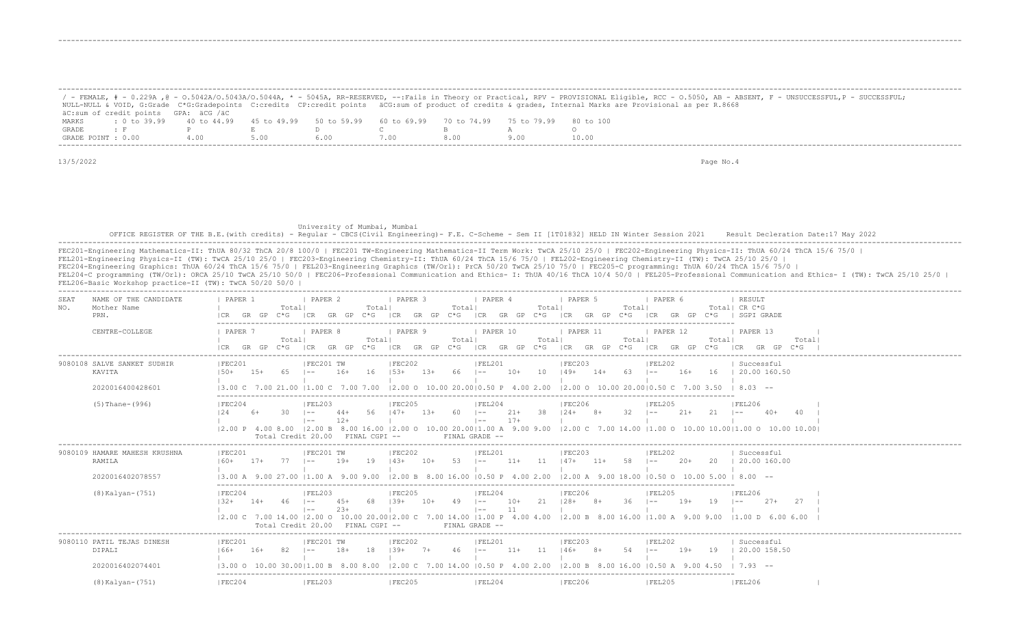|       |                                                                                                              |      |      |      |      |      | - FEMALE, # - 0.229A ,@ - 0.5042A/0.5043A/0.5044A, * - 5045A, RR-RESERVED, --:Fails in Theory or Practical, RPV - PROVISIONAL Eligible, RCC - 0.5050, AB - ABSENT, F - UNSUCCESSFUL,P - SUCCESSFUL; |
|-------|--------------------------------------------------------------------------------------------------------------|------|------|------|------|------|-----------------------------------------------------------------------------------------------------------------------------------------------------------------------------------------------------|
|       |                                                                                                              |      |      |      |      |      | NULL-NULL & VOID, G:Grade C*G:Gradepoints C:credits CP:credit points äCG:sum of product of credits & grades, Internal Marks are Provisional as per R.8668                                           |
|       | äC:sum of credit points GPA: äCG /äC                                                                         |      |      |      |      |      |                                                                                                                                                                                                     |
| MARKS | : 0 to 39.99   40 to 44.99   45 to 49.99   50 to 59.99   60 to 69.99   70 to 74.99   75 to 79.99   80 to 100 |      |      |      |      |      |                                                                                                                                                                                                     |
|       | $GRADE$ : F P F R D C                                                                                        |      |      |      |      |      |                                                                                                                                                                                                     |
|       | GRADE POINT : 0.00                                                                                           | 4.00 | 5.00 | 6.00 | 7.00 | -800 | 10.00                                                                                                                                                                                               |

-------------------------------------------------------------------------------------------------------------------------------------------------------------------------------------------------------------------

-------------------------------------------------------------------------------------------------------------------------------------------------------------------------------------------------------------------

-------------------------------------------------------------------------------------------------------------------------------------------------------------------------------------------------------------------

13/5/2022 Page No.4

 University of Mumbai, Mumbai OFFICE REGISTER OF THE B.E.(with credits) - Regular - CBCS(Civil Engineering)- F.E. C-Scheme - Sem II [1T01832] HELD IN Winter Session 2021 Result Decleration Date:17 May 2022 -------------------------------------------------------------------------------------------------------------------------------------------------------------------------------------------------------------------

FEC201-Engineering Mathematics-II: ThUA 80/32 ThCA 20/8 100/0 | FEC201 TW-Engineering Mathematics-II Term Work: TwCA 25/10 25/0 | FEC202-Engineering Physics-II: ThUA 60/24 ThCA 15/6 75/0 | FEL201-Engineering Physics-II (TW): TwCA 25/10 25/0 | FEC203-Engineering Chemistry-II: ThUA 60/24 ThCA 15/6 75/0 | FEL202-Engineering Chemistry-II (TW): TwCA 25/10 25/0 | FEC204-Engineering Graphics: ThUA 60/24 ThCA 15/6 75/0 | FEL203-Engineering Graphics (TW/Orl): PrCA 50/20 TwCA 25/10 75/0 | FEC205-C programming: ThUA 60/24 ThCA 15/6 75/0 | FEL204-C programming (TW/Orl): ORCA 25/10 TwCA 25/10 50/0 | FEC206-Professional Communication and Ethics- I: ThUA 40/16 ThCA 10/4 50/0 | FEL205-Professional Communication and Ethics- I (TW): TwCA 25/10 25/0 | FEL206-Basic Workshop practice-II (TW): TwCA 50/20 50/0 |

| NAME OF THE CANDIDATE<br>SEAT<br>Mother Name<br>NO.<br>PRN. | PAPER 1<br>Totall                      | I PAPER 2<br>Totall                                                                              | <b>PAPER 3</b><br>Total               | <b>I</b> PAPER 4<br>Total                               | <b>I</b> PAPER 5<br>I PAPER 6<br>Totall<br> CR GR GP C*G  CR GR GP C*G  CR GR GP C*G  CR GR GP C*G  CR GR GP C*G  CR GR GP C*G   SGPI GRADE                                                                            | <b>I RESULT</b><br>Total  CR C*G               |
|-------------------------------------------------------------|----------------------------------------|--------------------------------------------------------------------------------------------------|---------------------------------------|---------------------------------------------------------|------------------------------------------------------------------------------------------------------------------------------------------------------------------------------------------------------------------------|------------------------------------------------|
| CENTRE-COLLEGE                                              | <b>I PAPER 7</b><br>Totall             | <b>Example 1 PAPER 8</b><br>Totall                                                               | PAPER 9   PAPER 10<br>Totall          | Total                                                   | $\vert$ PAPER 11<br>$\vert$ PAPER 12<br>Total <br>ICR GR GP C*G ICR GR GP C*G ICR GR GP C*G ICR GR GP C*G ICR GR GP C*G ICR GR GP C*G ICR GP C*G ICR GR GP C*G                                                         | 1 PAPER 13<br>Totall<br>Total                  |
| 9080108 SALVE SANKET SUDHIR<br>KAVITA<br>2020016400428601   | IFEC201<br>$150+$ $15+$ 65 $1--$       | IFEC201 TW<br>$16+$                                                                              | IFEC202<br>$16$ $153+$ $13+$ 66 $1--$ | IFEL201                                                 | IFEC203<br>IFEL202<br>$10+$ 10 $149+$ 14+ 63 I-- 16+ 16   20.00160.50<br>$13.00 \text{ C}$ 7.00 21.00 11.00 C 7.00 7.00 12.00 O 10.00 20.0010.50 P 4.00 2.00 12.00 O 10.00 20.0010.50 C 7.00 3.50 1 8.03 --            | Successful                                     |
| $(5)$ Thane- $(996)$                                        | IFEC204<br>12.4<br>$30 \t - -$<br>$6+$ | IFEL203<br>$12+$<br>$\vert$ $-$<br>Total Credit 20.00 FINAL CGPI --                              | FEC205                                | IFEL204<br>$17+$<br>$\vert - - \vert$<br>FINAL GRADE -- | IFEC206<br><b>IFFI205</b><br>44+ 56 147+ 13+ 60 1-- 21+ 38 124+ 8+ 32 1--<br>12.00 P 4.00 8.00 12.00 B 8.00 16.00 12.00 O 10.00 20.0011.00 A 9.00 9.00 12.00 C 7.00 14.00 11.00 O 10.00 10.0011.00 O 10.00 10.00 10.00 | <b>IFEL206</b><br>$21+21$ $1--$<br>$40+$<br>40 |
| 9080109 HAMARE MAHESH KRUSHNA<br>RAMILA                     | IFEC201<br>$160+$ 17+ 77 $1--$         | IFEC201 TW                                                                                       | IFEC202                               | IFEL201                                                 | IFEC203<br>IFEL202<br>19+ 19 143+ 10+ 53 I-- 11+ 11 147+ 11+ 58 I-- 20+ 20 I 20.00 160.00                                                                                                                              | Successful                                     |
| 2020016402078557                                            |                                        |                                                                                                  |                                       |                                                         | $13.00$ A $9.00$ 27.00 $11.00$ A $9.00$ $9.00$ $12.00$ B $8.00$ $16.00$ $10.50$ P $4.00$ $2.00$ $12.00$ A $9.00$ $18.00$ $10.50$ O $10.00$ $5.00$ $18.00$ $-$                                                          |                                                |
| $(8)$ Kalyan- $(751)$                                       | IFEC204                                | IFEL203<br>$132+$ $14+$ $46$ $1- 45+$ 68<br>$23+$<br>$1 - -$<br>Total Credit 20.00 FINAL CGPI -- | IFEC205                               | IFEL204<br>11<br>$\vert - - \vert$<br>FINAL GRADE --    | IFEC206<br>IFFI205<br>$139+$ 10+ 49 I-- 10+ 21 I28+ 8+ 36 I--<br>$19+$ 19<br>12.00 C 7.00 14.00 12.00 O 10.00 20.0012.00 C 7.00 14.00 11.00 P 4.00 4.00 12.00 B 8.00 16.00 11.00 A 9.00 9.00 11.00 D 6.00 6.00         | IFET.206<br>$27 + 27$<br>$1 - -$               |
| 9080110 PATIL TEJAS DINESH<br>DIPALI                        | IFEC201<br>$166+ 16+ 82 1--$           | IFEC201 TW<br>$18+$                                                                              | FEC202                                | IFEL201                                                 | FEC203<br>IFEL202<br>18   39+ 7+ 46   -- 11+ 11   46+ 8+ 54   --                                                                                                                                                       | Successful<br>19+ 19   20.00 158.50            |
| 2020016402074401                                            |                                        |                                                                                                  |                                       |                                                         | 13.00 O 10.00 30.0011.00 B 8.00 8.00 12.00 C 7.00 14.00 10.50 P 4.00 2.00 12.00 B 8.00 16.00 10.50 A 9.00 4.50                                                                                                         | $1 \t7.93 - -$                                 |
| (8) Kalyan-(751)                                            | IFEC204                                | IFEL203                                                                                          | IFEC205                               | FEL204                                                  | IFEC206<br><b>IFEL205</b>                                                                                                                                                                                              | IFEL206                                        |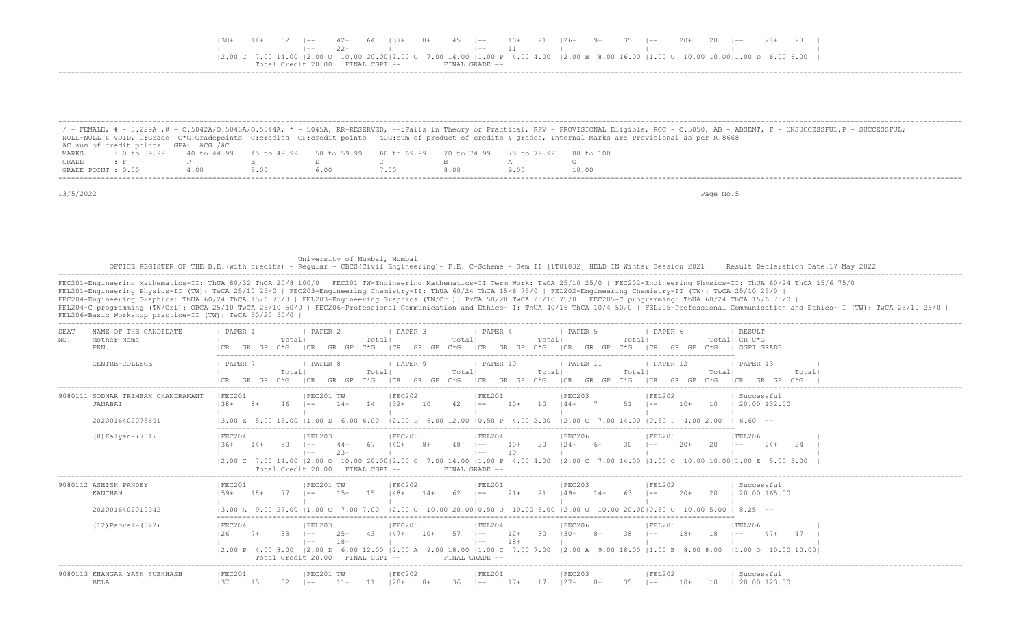|  |  |       | 14+ 52  -- 42+ 64  37+ 8+ 45  -- 10+ 21  26+ 9+ 35  -- 20+ 20  -- 28+ 28                                                                                                                                                                                               |  |                |  |  |  |  |  |  |
|--|--|-------|------------------------------------------------------------------------------------------------------------------------------------------------------------------------------------------------------------------------------------------------------------------------|--|----------------|--|--|--|--|--|--|
|  |  | - 22+ |                                                                                                                                                                                                                                                                        |  |                |  |  |  |  |  |  |
|  |  |       | $(2.00 \text{ C } 7.00 \text{ 14.00 } (2.00 \text{ O } 10.00 \text{ 20.00} (2.00 \text{ C } 7.00 \text{ 14.00 } (1.00 \text{ P } 4.00 \text{ 4.00 } (2.00 \text{ B } 8.00 \text{ 16.00 } (1.00 \text{ O } 10.00 \text{ 10.00} (1.00 \text{ D } 6.00 \text{ 6.00 } 1))$ |  |                |  |  |  |  |  |  |
|  |  |       | Total Credit 20 00 FINAL CGPI --                                                                                                                                                                                                                                       |  | FINAL GRADE -- |  |  |  |  |  |  |
|  |  |       |                                                                                                                                                                                                                                                                        |  |                |  |  |  |  |  |  |

|                    |                                                                                                              |     |     |      |      |      | / - FEMALE, # - 0.229A ,@ - 0.5042A/0.5043A/0.5044A, * - 5045A, RR-RESERVED, --:Fails in Theory or Practical, RPV - PROVISIONAL Eligible, RCC - 0.5050, AB - ABSENT, F - UNSUCCESSFUL,P - SUCCESSFUL; |
|--------------------|--------------------------------------------------------------------------------------------------------------|-----|-----|------|------|------|-------------------------------------------------------------------------------------------------------------------------------------------------------------------------------------------------------|
|                    |                                                                                                              |     |     |      |      |      | NULL-NULL & VOID, G:Grade C*G:Gradepoints C:credits CP:credit points äCG:sum of product of credits & grades, Internal Marks are Provisional as per R.8668                                             |
|                    | äC:sum of credit points GPA: äCG /äC                                                                         |     |     |      |      |      |                                                                                                                                                                                                       |
| MARKS              | t 0 to 39.99   40 to 44.99   45 to 49.99   50 to 59.99   60 to 69.99   70 to 74.99   75 to 79.99   80 to 100 |     |     |      |      |      |                                                                                                                                                                                                       |
| GRADE              |                                                                                                              |     |     |      |      |      |                                                                                                                                                                                                       |
| GRADE POINT : 0.00 |                                                                                                              | 400 | 500 | 6.00 | 7.00 | 8.00 | 10.00                                                                                                                                                                                                 |
|                    |                                                                                                              |     |     |      |      |      |                                                                                                                                                                                                       |

University of Mumbai, Mumbai, Mumbai<br>OFFICE REGISTER OF THE B.E.(with credits) - Regular - CBCS(Civil Engineering)- F.E. C-Scheme - Sem II [1T01832] HELD IN Winter Session 2021 Result Decleration Date:17 May 2022<br>---------

 FEC201-Engineering Mathematics-II: ThUA 80/32 ThCA 20/8 100/0 | FEC201 TW-Engineering Mathematics-II Term Work: TwCA 25/10 25/0 | FEC202-Engineering Physics-II: ThUA 60/24 ThCA 15/6 75/0 | FEL201-Engineering Physics-II (TW): TwCA 25/10 25/0 | FEC203-Engineering Chemistry-II: ThUA 60/24 ThCA 15/6 75/0 | FEL202-Engineering Chemistry-II (TW): TwCA 25/10 25/0 | FEC204-Engineering Graphics: ThUA 60/24 ThCA 15/6 75/0 | FEL203-Engineering Graphics (TW/Orl): PrCA 50/20 TwCA 25/10 75/0 | FEC205-C programming: ThUA 60/24 ThCA 15/6 75/0 | FEL204-C programming (TW/Orl): ORCA 25/10 TwCA 25/10 50/0 | FEC206-Professional Communication and Ethics- I: ThUA 40/16 ThCA 10/4 50/0 | FEL205-Professional Communication and Ethics- I (TW): TwCA 25/10 25/0 | FEL206-Basic Workshop practice-II (TW): TwCA 50/20 50/0 |

| NAME OF THE CANDIDATE<br><b>SEAT</b><br>Mother Name<br>NO. | PAPER 1<br>PAPER 2<br><b>PAPER 4</b><br>PAPER 5<br>PAPER 6<br>PAPER 3<br>RESULT<br>Total  CR C*G<br>Totall<br>Total<br>Total<br>Total <br>Total                                                                                                                                                             |
|------------------------------------------------------------|-------------------------------------------------------------------------------------------------------------------------------------------------------------------------------------------------------------------------------------------------------------------------------------------------------------|
| PRN.                                                       | GP<br>SGPT GRADE<br>C*G.<br>GP<br>GP<br>GR.<br>GP<br>こ*に<br>C*G-                                                                                                                                                                                                                                            |
| CENTRE-COLLEGE                                             | I PAPER 10<br>PAPER 11<br>PAPER 12<br>PAPER '<br>PAPER 8<br>I PAPER 9<br>PAPER 13<br>Total<br>Totall<br>Totall<br>Totall<br>Total<br>Totall<br>Total<br>GR<br>GP<br>GR<br>GP<br>LCR.<br>GR.<br>GP.<br>$C*G$<br>GR<br>GP.<br>GP<br>C*G.<br>∩∗⊂<br>ነ* ⊆<br>$C * G$<br>ICR<br>$C*G$<br>LCR.<br>GR<br>GR<br>C*G |
| 9080111 SODNAR TRIMBAK CHANDRAKANT<br>JANABAI              | IFEC202<br>IFEL201<br> FEC203<br>IFEL202<br>IFEC201<br>IFEC201 TW<br>Successful<br>51<br>20.00 132.00<br>$138+$<br>42<br>$10+$<br>10<br>$14+$<br>14<br>$132+$<br>$10+$<br>10<br>$144+$<br>46.<br>10.<br>$1 - -$<br>$1 - -$<br>$\sim$ $-$                                                                    |
| 2020016402075691                                           | $12.00$ D 6.00 12.00 10.50 P 4.00 2.00<br>12 00 C 7 00 14 00<br>4 00 2 00<br>660 --<br>13.00 E<br>. 600 600<br>ת חח!ו                                                                                                                                                                                       |
| $(8)$ Kalyan- $(751)$                                      | IFEC204<br> FEL203<br>IFEC205<br>IFEL204<br>IFEC206<br>IFEL205<br>IFEL206<br>$10+$<br>$2.0+$<br>20<br>2.4<br>$2.4+$<br>$1.36+$<br>$14+$<br>$1 - -$<br>$- -$<br>$- -$<br>10                                                                                                                                  |
|                                                            | 2.00 C 7.00 14.00  2.00 O 10.00 20.00 2.00 C 7.00 14.00  1.00 P 4.00 4.00  2.00 C 7.00 14.00  1.00 O 10.00 10.00 1.00 E 5.00 5.00<br>Total Credit 20.00<br>FINAL CGPI --<br>FINAL GRADE --                                                                                                                  |
| 9080112 ASHISH PANDEY<br>KANCHAN                           | FEC202<br> FEL201<br> FEC201<br>IFEC201 TW<br> FEC203<br> FEL202<br>Successful<br>20.00 165.00<br>15<br>62<br>$21+$<br>21<br>20<br>$1.5+$<br>$149+$<br>$2.0+$<br>$159+$<br>$18+$<br>$148+$<br>$14+$<br>$14+$<br>-63<br>$1 - -$<br>$- -$<br>l ——                                                             |
| 2020016402019942                                           | 13.00 A 9.00 27.00 11.00 C 7.00 7.00<br>$ 2.00 \t{0} 10.00 \t{2} 0.00 0.50 \t{0} 10.00 \t{5} 00  2.00 \t{0} 10.00 \t{2} 0.00 0.50 \t{0} 10.00 \t{5} 00  8.25 --$                                                                                                                                            |
| $(12)$ Panvel- $(822)$                                     | FEC204<br> FEL203<br> FEC205<br> FEL204<br> FEC206<br>IFEL205<br><b>FEL206</b><br>57<br>38<br>33<br>$12+$<br>30<br>$18+$<br>$7+$<br>$25+$<br>43<br>$130+$<br>18<br>126<br>$1 - -$<br>$1 - -$<br>$- -$<br>$18 +$<br>$18+$<br>$\sim$<br>l ——                                                                  |
|                                                            | $9.00$ 18.00   1.00 C 7.00 7.00   2.00 A 9.00 18.00   1.00 B 8.00 8.00<br>$ 1.00 \t0 10.00 10.00 $<br>$ 2,00 \tP 4.00 8.00$<br>$12.00$ D<br>6.00 12.00<br>Total Credit 20.00<br>FINAL CGPI --<br>FINAL GRADE --                                                                                             |
| 9080113 KHANGAR YASH SUBHHASH<br><b>BELA</b>               | FEC201 TW<br> FEC202<br> FEC201<br> FEL201<br> FEC203<br> FEL202<br>Successful<br>137<br>52<br>20.00 123.50<br>15<br>11<br>36<br>$17+$<br>17<br>35<br>10<br>$11+$<br>$128+$<br>$127 +$<br>$10+$<br>$8+$<br>$1 - -$<br>-8+<br>$1 - -$<br>$1 - -$                                                             |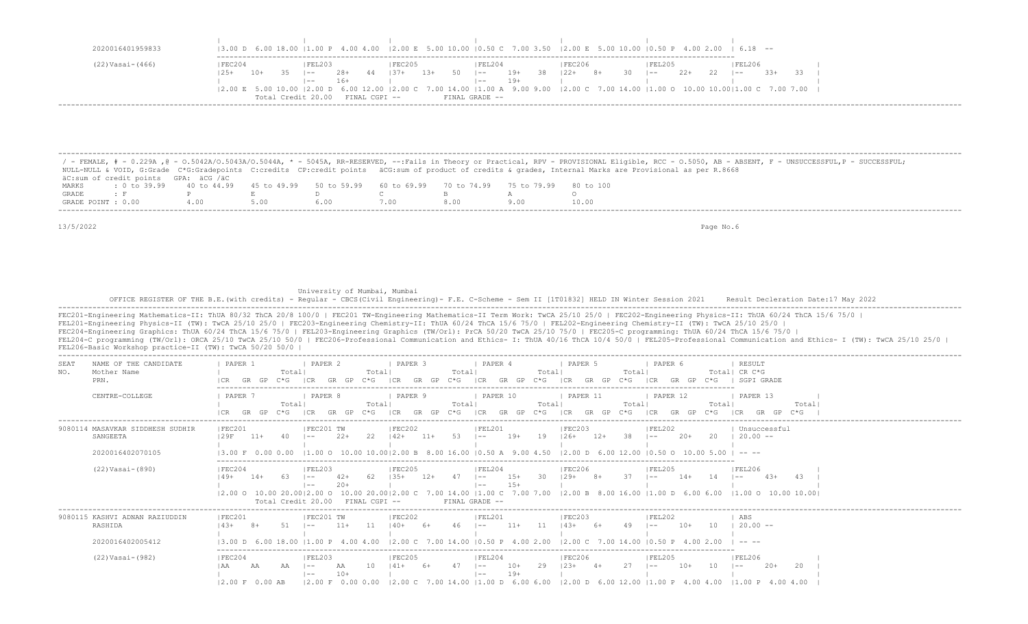|                  |        |            |                    |               |    |          |       |    |                |       |    | $(3.00 \text{ D } 6.00 \text{ 18.00 }   1.00 \text{ P } 4.00 \text{ 4.00 }   2.00 \text{ E } 5.00 \text{ 10.00 }   0.50 \text{ C } 7.00 \text{ 3.50 }   2.00 \text{ E } 5.00 \text{ 10.00 }   0.50 \text{ P } 4.00 \text{ 2.00 }   6.18 \text{ --}$      |    |    |         |      |     |        |       |  |
|------------------|--------|------------|--------------------|---------------|----|----------|-------|----|----------------|-------|----|----------------------------------------------------------------------------------------------------------------------------------------------------------------------------------------------------------------------------------------------------------|----|----|---------|------|-----|--------|-------|--|
| (22) Vasai-(466) | FEC204 |            | FEL203             |               |    | IFEC205  |       |    | IFEL204        |       |    | FEC206                                                                                                                                                                                                                                                   |    |    | IFEL205 |      |     | FEL206 |       |  |
| $12.5+$          | 10+    | - 35 - 100 |                    | 28+           | 44 | $1.37 +$ | $13+$ | 50 | $\vert - -$    | 19+   | 38 | $  22+$                                                                                                                                                                                                                                                  | 8+ | 30 | $- -$   | -22+ | -22 | $- -$  | $33+$ |  |
|                  |        |            | $- -$              | $16+$         |    |          |       |    | $--$           | $19+$ |    | $(2.00 \t{E} \t{5.00} \t{10.00} \t{2.00} \t{D} \t{6.00} \t{12.00} \t{2.00} \t{C} \t{7.00} \t{14.00} \t{1.00} \t{A} \t{9.00} \t{9.00} \t{2.00} \t{C} \t{7.00} \t{14.00} \t{1.00} \t{0} \t{1.00} \t{0} \t{1.00} \t{1.00} \t{1.00} \t{C} \t{7.00} \t{7.00}$ |    |    |         |      |     |        |       |  |
|                  |        |            | Total Credit 20.00 | FINAL CGPI -- |    |          |       |    | FINAL GRADE -- |       |    |                                                                                                                                                                                                                                                          |    |    |         |      |     |        |       |  |

 ------------------------------------------------------------------------------------------------------------------------------------------------------------------------------------------------------------------- / - FEMALE, # - 0.229A ,@ - O.5042A/O.5043A/O.5044A, \* - 5045A, RR-RESERVED, --:Fails in Theory or Practical, RPV - PROVISIONAL Eligible, RCC - O.5050, AB - ABSENT, F - UNSUCCESSFUL,P - SUCCESSFUL; NULL-NULL & VOID, G:Grade C\*G:Gradepoints C:credits CP:credit points äCG:sum of product of credits & grades, Internal Marks are Provisional as per R.8668 äC:sum of credit points GPA: äCG /äC MARKS : 0 to 39.99 40 to 44.99 45 to 49.99 50 to 59.99 60 to 69.99 70 to 74.99 75 to 79.99 80 to 100<br>GRADE: F P E D C B A O GRADE : F P E D C B A O GRADE POINT : 0.00 4.00 5.00 6.00 7.00 8.00 9.00 10.00 -------------------------------------------------------------------------------------------------------------------------------------------------------------------------------------------------------------------

University of Mumbai, Mumbai

13/5/2022 Page No.6

|                                                             | FEC201-Engineering Mathematics-II: ThUA 80/32 ThCA 20/8 100/0   FEC201 TW-Engineering Mathematics-II Term Work: TwCA 25/10 25/0   FEC202-Engineering Physics-II: ThUA 60/24 ThCA 15/6 75/0  <br>FEL201-Engineering Physics-II (TW): TwCA 25/10 25/0   FEC203-Engineering Chemistry-II: ThUA 60/24 ThCA 15/6 75/0   FEL202-Engineering Chemistry-II (TW): TwCA 25/10 25/0  <br>FEC204-Engineering Graphics: ThUA 60/24 ThCA 15/6 75/0   FEL203-Engineering Graphics (TW/Orl): PrCA 50/20 TwCA 25/10 75/0   FEC205-C programming: ThUA 60/24 ThCA 15/6 75/0 |
|-------------------------------------------------------------|-----------------------------------------------------------------------------------------------------------------------------------------------------------------------------------------------------------------------------------------------------------------------------------------------------------------------------------------------------------------------------------------------------------------------------------------------------------------------------------------------------------------------------------------------------------|
| FEL206-Basic Workshop practice-II (TW): TwCA 50/20 50/0     | FEL204-C programming (TW/Orl): ORCA 25/10 TwCA 25/10 50/0   FEC206-Professional Communication and Ethics- I: ThUA 40/16 ThCA 10/4 50/0   FEL205-Professional Communication and Ethics- I (TW): TwCA 25/10 25/0                                                                                                                                                                                                                                                                                                                                            |
| NAME OF THE CANDIDATE<br>SEAT<br>Mother Name<br>NO.<br>PRN. | PAPER 1<br>PAPER 2<br><b>I PAPER 3</b><br>PAPER 4<br><b>PAPER 5</b><br>I PAPER 6<br>  RESULT<br>Totall<br>Totall<br>Totall CR C*G<br>Totall<br>Totall<br>Totall<br>C*G ICR GR GP C*G ICR GR GP C*G ICR GR GP C*G ICR GR GP C*G ICR GR GP C*G ISGPIGRADE<br>GR GP                                                                                                                                                                                                                                                                                          |
| CENTRE-COLLEGE                                              | <b>PAPER 7</b><br>I PAPER 8<br><b>PAPER 9</b><br>PAPER 10<br><b>PAPER 11</b><br><b>I PAPER 12</b><br>I PAPER 13<br>Totall<br>Totall<br>Totall<br>Totall<br>Totall<br>Totall<br>Totall<br>$C*G$ FOR GR GP $C*G$ FOR GR GP $C*G$ FOR GR GP $C*G$ FOR GR GP $C*G$ FOR GR GP $C*G$ FOR GR GP $C*G$ FOR<br>GR GP C*G<br>GR GP                                                                                                                                                                                                                                  |
| 9080114 MASAVKAR SIDDHESH SUDHIR<br>SANGEETA                | IFEC201<br>IFEL202<br>  Unsuccessful<br>IFEC201 TW<br>IFEC202<br>IFEL201<br>IFEC203<br>22<br>53<br>38<br>$2.2+$<br>$142+$<br>$11 +$<br>19<br>$126+$<br>$12+$<br>$20+$<br>$20 \t 20.00 -$<br>$11+$<br>40<br>$19+$<br>129F<br>$\vert - -$<br>$1 - -$<br>$\sim$                                                                                                                                                                                                                                                                                              |
| 2020016402070105                                            | $13.00 \text{ F}$ 0.00 0.00 11.00 0 10.00 10.0012.00 B 8.00 16.00 10.50 A 9.00 4.50 12.00 D 6.00 12.00 10.50 O 10.00 5.00 I -- --                                                                                                                                                                                                                                                                                                                                                                                                                         |
| $(22) Vasi-(890)$                                           | IFEC204<br>IFEC205<br>IFEC206<br>IFEL206<br>IFEL203<br> FEL204<br>IFEL205<br>$1.35+$<br>47<br>$15+$<br>30<br>$129+$<br>$8+$<br>37<br>$42+$<br>-62<br>$12+$<br>$14+$<br>14<br>$43+$<br>$149+$<br>$14+$<br>$1 - -$<br>$1 - -$<br>$1 - -$<br>-43<br>$\sim$<br>$1.5+$<br>$2.0+$<br>12.00 0 10.00 20.0012.00 0 10.00 20.0012.00 C 7.00 14.00 11.00 C 7.00 7.00 12.00 B 8.00 16.00 11.00 D 6.00 6.00 11.00 O 10.00 10.001<br>Total Credit 20.00 FINAL CGPI --<br>FINAL GRADE --                                                                                 |
| 9080115 KASHVI ADNAN RAZIUDDIN<br>RASHIDA                   | IFEC201 TW<br>IFEC202<br>IFEL201<br>IFEC203<br>IFEL202<br>IFEC201<br>l ABS.<br>$140+ 6+$<br>$46 - 1 -$<br>$143+$<br>51<br>$11 +$<br>11<br>$11+$ $11$ $143+$ $6+$<br>$49$ $1- 10+$<br>$120.00 -$<br>$1 - -$<br>10<br>-8+                                                                                                                                                                                                                                                                                                                                   |
| 2020016402005412                                            | 13.00 D 6.00 18.00 11.00 P 4.00 4.00 12.00 C 7.00 14.00 10.50 P 4.00 2.00 12.00 C 7.00 14.00 10.50 P 4.00 2.00                                                                                                                                                                                                                                                                                                                                                                                                                                            |
| $(22) Vasi-(982)$                                           | IFEC204<br>IFEC205<br><b>IFEC206</b><br>IFEL203<br>IFEL204<br>IFEL205<br><b>IFEL206</b><br>10<br>47<br>27<br>$10+$<br>AA<br>AA<br>AA<br>$141+$<br>$6+$<br>$10+$<br>29<br>$123+$<br>10<br>$20+$<br>20<br>$1 - -$<br>$1 - -$<br>$-$<br>$10+$<br>$19+$<br>$1 - -$<br>$\vert - - \vert$<br> 2.00 F 0.00 0.00  2.00 C 7.00 14.00  1.00 D 6.00 6.00  2.00 D 6.00 12.00  1.00 P 4.00 4.00  1.00 P 4.00 4.00<br>$12.00 \t F 0.00 AB$                                                                                                                              |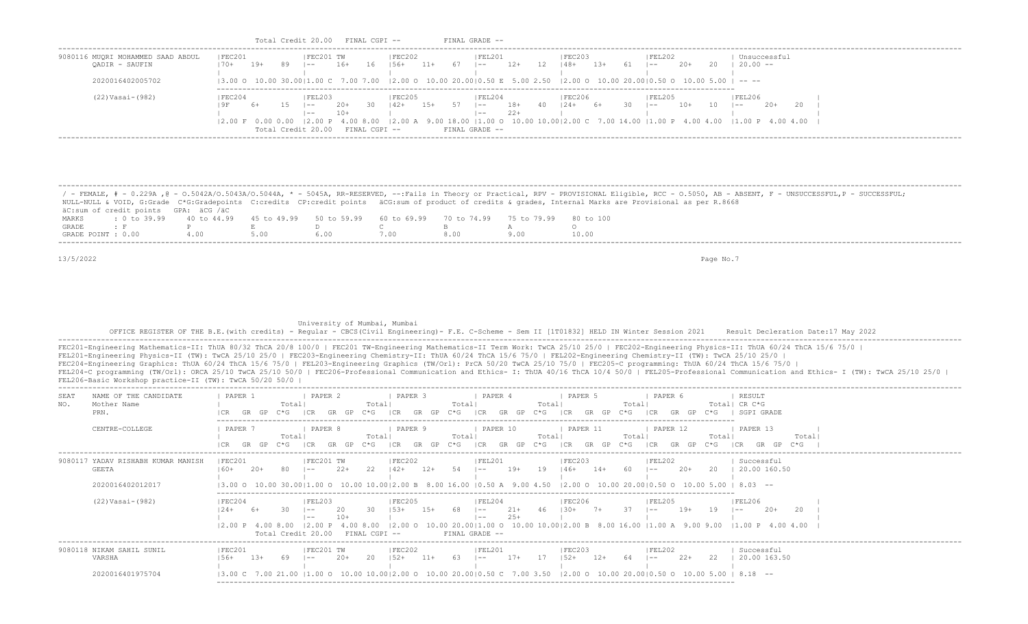|                                                                                                                                                                                                                                                                                                                                                                          |                                   |                          | Total Credit 20.00 FINAL CGPI --       |                |                                                                                                                                                                                                                             |             | FINAL GRADE                           |                |                                                     |                            |                                                     |      |           |                                                                                                                                                                                                                |
|--------------------------------------------------------------------------------------------------------------------------------------------------------------------------------------------------------------------------------------------------------------------------------------------------------------------------------------------------------------------------|-----------------------------------|--------------------------|----------------------------------------|----------------|-----------------------------------------------------------------------------------------------------------------------------------------------------------------------------------------------------------------------------|-------------|---------------------------------------|----------------|-----------------------------------------------------|----------------------------|-----------------------------------------------------|------|-----------|----------------------------------------------------------------------------------------------------------------------------------------------------------------------------------------------------------------|
| 9080116 MUORI MOHAMMED SAAD ABDUL<br>QADIR - SAUFIN                                                                                                                                                                                                                                                                                                                      | IFEC201<br>$170+$                 | 19+<br>89                | FEC201 TW<br>$1 - -$                   | 16+            | FEC202<br>16<br>$156+$                                                                                                                                                                                                      | 11+         | FEL201<br>$67$ $ --$                  | 12+            | FEC203<br>$12 \t148+ \t13+$                         |                            | 61  --                                              | -20+ |           | Unsuccessful<br>20   20.00 --                                                                                                                                                                                  |
| 2020016402005702                                                                                                                                                                                                                                                                                                                                                         |                                   |                          |                                        |                |                                                                                                                                                                                                                             |             |                                       |                |                                                     |                            |                                                     |      |           |                                                                                                                                                                                                                |
| $(22) Vasi-(982)$                                                                                                                                                                                                                                                                                                                                                        | FEC204<br>19F<br>6+               |                          | IFEL203<br>$15 - 1 - -$<br>$\vert$ $-$ | $20+$<br>$10+$ | FEC205<br>$142+ 15+$<br>30                                                                                                                                                                                                  |             | FEL204<br>$57 - 1 - -$<br>$\vert - -$ | $18+$<br>$22+$ | <b>FEC206</b><br>$40 \t 124+ \t 6+$<br>$\mathbf{1}$ |                            | FEL205<br>$30 \t - - \t 10+ \t 10 \t - -$<br>$\Box$ |      |           | FEL206<br>$20+$<br>20 1<br>$\Box$                                                                                                                                                                              |
|                                                                                                                                                                                                                                                                                                                                                                          |                                   |                          | Total Credit 20.00 FINAL CGPI --       |                |                                                                                                                                                                                                                             |             | FINAL GRADE --                        |                |                                                     |                            |                                                     |      |           | 2.00 F 0.00 0.00  2.00 P 4.00 8.00  2.00 A 9.00 18.00  1.00 O 10.00 10.00 2.00 C 7.00 14.00  1.00 P 4.00 4.00  1.00 P 4.00 4.00  1.00 P 4.00 4.00                                                              |
| NULL-NULL & VOID, G:Grade C*G:Gradepoints C:credits CP:credit points äCG:sum of product of credits & grades, Internal Marks are Provisional as per R.8668                                                                                                                                                                                                                |                                   |                          |                                        |                |                                                                                                                                                                                                                             |             |                                       |                |                                                     |                            |                                                     |      |           | / - FEMALE, # - 0.229A , @ - 0.5042A/0.5043A/0.5044A, * - 5045A, RR-RESERVED, --:Fails in Theory or Practical, RPV - PROVISIONAL Eligible, RCC - 0.5050, AB - ABSENT, F - UNSUCCESSFUL,P - SUCCESSFUL;         |
| äC:sum of credit points GPA: äCG /äC<br>MARKS<br>: 0 to 39.99                                                                                                                                                                                                                                                                                                            | 40 to 44.99                       | 45 to 49.99              |                                        | 50 to 59.99    | 60 to 69.99                                                                                                                                                                                                                 |             | 70 to 74.99                           |                | 75 to 79.99 80 to 100                               |                            |                                                     |      |           |                                                                                                                                                                                                                |
| GRADE<br>P<br>$\cdot$ F                                                                                                                                                                                                                                                                                                                                                  |                                   | E                        | D                                      |                | $\mathbb{C}$                                                                                                                                                                                                                | $\mathbb B$ |                                       | A              | $\circ$                                             |                            |                                                     |      |           |                                                                                                                                                                                                                |
| GRADE POINT : 0.00<br>4.00                                                                                                                                                                                                                                                                                                                                               |                                   | 5.00                     | 6.00                                   |                | 7.00                                                                                                                                                                                                                        | 8.00        |                                       | 9.00           | 10.00                                               |                            |                                                     |      |           |                                                                                                                                                                                                                |
| 13/5/2022                                                                                                                                                                                                                                                                                                                                                                |                                   |                          |                                        |                |                                                                                                                                                                                                                             |             |                                       |                |                                                     |                            |                                                     |      | Page No.7 |                                                                                                                                                                                                                |
| FEC201-Engineering Mathematics-II: ThUA 80/32 ThCA 20/8 100/0   FEC201 TW-Engineering Mathematics-II Term Work: TwCA 25/10 25/0   FEC202-Engineering Physics-II: ThUA 60/24 ThCA 15/6 75/0  <br>FEL201-Engineering Physics-II (TW): TwCA 25/10 25/0   FEC203-Engineering Chemistry-II: ThUA 60/24 ThCA 15/6 75/0   FEL202-Engineering Chemistry-II (TW): TwCA 25/10 25/0 |                                   |                          |                                        |                | University of Mumbai, Mumbai                                                                                                                                                                                                |             |                                       |                |                                                     |                            |                                                     |      |           | OFFICE REGISTER OF THE B.E. (with credits) - Reqular - CBCS (Civil Engineering) - F.E. C-Scheme - Sem II [1T01832] HELD IN Winter Session 2021 Result Decleration Date:17 May 2022                             |
| FEC204-Engineering Graphics: ThUA 60/24 ThCA 15/6 75/0   FEL203-Engineering Graphics (TW/Orl): PrCA 50/20 TwCA 25/10 75/0   FEC205-C programming: ThUA 60/24 ThCA 15/6 75/0  <br>FEL206-Basic Workshop practice-II (TW): TwCA 50/20 50/0                                                                                                                                 |                                   |                          |                                        |                |                                                                                                                                                                                                                             |             |                                       |                |                                                     |                            |                                                     |      |           | FEL204-C programming (TW/Orl): ORCA 25/10 TwCA 25/10 50/0   FEC206-Professional Communication and Ethics- I: ThUA 40/16 ThCA 10/4 50/0   FEL205-Professional Communication and Ethics- I (TW): TwCA 25/10 25/0 |
| NAME OF THE CANDIDATE<br>SEAT                                                                                                                                                                                                                                                                                                                                            | PAPER 1                           |                          | PAPER 2                                |                | PAPER 3                                                                                                                                                                                                                     |             | PAPER 4                               |                | PAPER 5                                             |                            | PAPER 6                                             |      |           | RESULT                                                                                                                                                                                                         |
| NO.<br>Mother Name<br>PRN.                                                                                                                                                                                                                                                                                                                                               | $\mathbf{I}$<br>ICR GR GP C*G ICR | Totall                   |                                        |                | Total                                                                                                                                                                                                                       |             | Total                                 |                | Total                                               | Total                      |                                                     |      |           | Total  CR C*G<br>GR GP C*G  CR GR GP C*G  CR GR GP C*G  CR GR GP C*G  CR GR GP C*G   SGPI GRADE                                                                                                                |
| CENTRE-COLLEGE                                                                                                                                                                                                                                                                                                                                                           | PAPER 7                           | Totall<br>GR GP C*G   CR | PAPER 8                                |                | PAPER 9<br>Total                                                                                                                                                                                                            |             | PAPER 10<br>Total                     |                | PAPER 11<br>Total                                   | Total                      | PAPER 12                                            |      | Totall    | PAPER 13<br>Totall<br>GR GP C*G ∣CR GR GP C*G ∣CR GR GP C*G ∣CR GR GP C*G ∣CR GR GP C*G ∣CR GR GP C*G                                                                                                          |
|                                                                                                                                                                                                                                                                                                                                                                          | ICR                               |                          |                                        |                |                                                                                                                                                                                                                             |             |                                       |                |                                                     |                            |                                                     |      |           |                                                                                                                                                                                                                |
| <b>GEETA</b>                                                                                                                                                                                                                                                                                                                                                             | FEC201<br>$160+$                  | - 20+<br>80.             | FEC201 TW<br>$1 - -$                   | $22+$          | FEC202<br>22<br>$142+$ 12+                                                                                                                                                                                                  |             | FEL201<br>$54$ $1- 19+$               |                | FEC203<br>19   46+ 14+                              |                            | FEL202<br>60   --                                   | 20+  |           | Successful<br>20   20.00 160.50                                                                                                                                                                                |
| 2020016402012017                                                                                                                                                                                                                                                                                                                                                         |                                   |                          |                                        |                | $\mathbf{1}$<br>$\begin{bmatrix} 3.00 & 0 & 10.00 & 30.00 \end{bmatrix}$ 1.00 0 10.00 10.00 2.00 B 8.00 16.00 $\begin{bmatrix} 0.50 & A & 9.00 & 4.50 & 2.00 & 0 & 10.00 & 20.00 \end{bmatrix}$ 0.50 0 10.00 5.00   8.03 -- |             | $\Box$                                |                |                                                     |                            |                                                     |      |           |                                                                                                                                                                                                                |
| 9080117 YADAV RISHABH KUMAR MANISH<br>(22) Vasai-(982)                                                                                                                                                                                                                                                                                                                   | FEC204<br>$124+$                  | 30 I                     | FEL203<br>$1 - -$<br>$\vert - - \vert$ | -20<br>10+     | FEC205<br>30<br>$153+$ 15+                                                                                                                                                                                                  |             | FEL204<br>68 –<br>$\vert$ $-$         | $21+$<br>$25+$ | FEC206<br>46   30+ 7+                               |                            | FEL205<br>$37 \t - - - 19+$                         |      | $19 - -$  | FEL206<br>20<br>$20+$                                                                                                                                                                                          |
|                                                                                                                                                                                                                                                                                                                                                                          |                                   |                          | Total Credit 20.00 FINAL CGPI --       |                |                                                                                                                                                                                                                             |             | FINAL GRADE --                        |                |                                                     |                            |                                                     |      |           | 2.00 P 4.00 8.00  2.00 P 4.00 8.00  2.00 O 10.00 20.00 1.00 O 10.00 10.00 2.00 B 8.00 16.00  1.00 A 9.00 9.00  1.00 P 4.00 4.00                                                                                |
| 9080118 NIKAM SAHIL SUNIL<br>VARSHA                                                                                                                                                                                                                                                                                                                                      | FEC201<br>$156+$ 13+              |                          | FEC201 TW<br>69 –                      | $20+$          | FEC202<br>$20 \t 152+ \t 11+$                                                                                                                                                                                               |             | FEL201<br>$63 \t - -$                 |                | FEC203                                              | $17+$ 17 $152+$ 12+ 64 1-- | FEL202                                              |      |           | Successful<br>22+ 22   20.00 163.50                                                                                                                                                                            |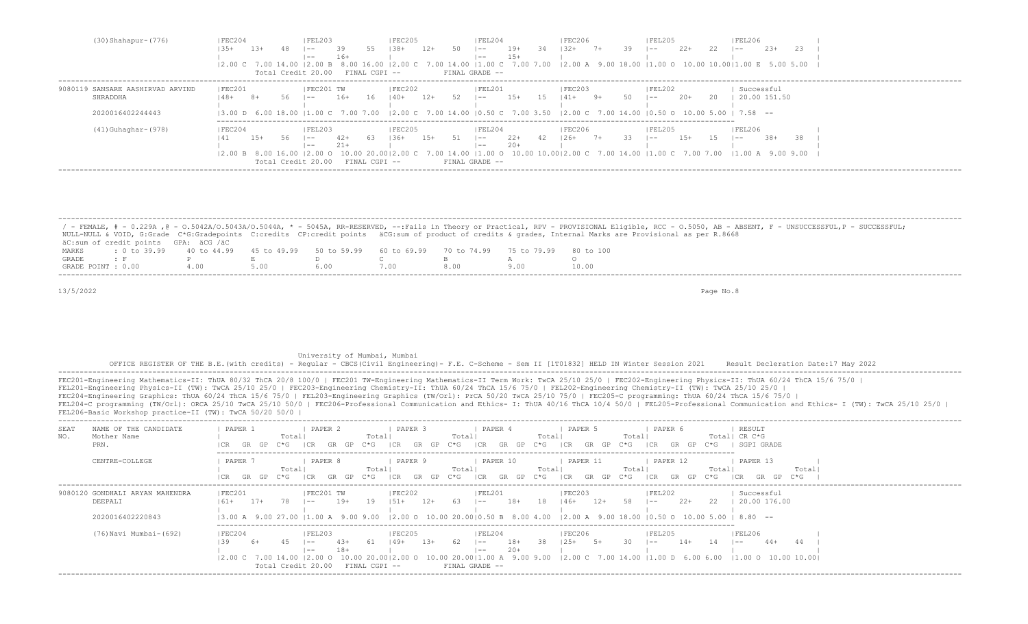|        |        |                | FEL203  |       |                                                                                 | <b>FEC205</b> |                                                                   |                                   | FEL204       |        |                                                                 | FEC206   |      |                                              | FEL205  |        |                                      | <b>FEL206</b> |        |                                                                                                                                                                                                                                                                 |                                                                                                                                                                                                                                                                 |
|--------|--------|----------------|---------|-------|---------------------------------------------------------------------------------|---------------|-------------------------------------------------------------------|-----------------------------------|--------------|--------|-----------------------------------------------------------------|----------|------|----------------------------------------------|---------|--------|--------------------------------------|---------------|--------|-----------------------------------------------------------------------------------------------------------------------------------------------------------------------------------------------------------------------------------------------------------------|-----------------------------------------------------------------------------------------------------------------------------------------------------------------------------------------------------------------------------------------------------------------|
| $-35+$ | $13+$  |                | $- -$   | -39   | 55                                                                              | $1.38 +$      | $12+$                                                             | 50                                | $1 - -$      | $19+$  | -34                                                             | $132+$   | $7+$ | 39                                           | $1 - -$ | $2.2+$ | 2.2                                  | $- -$         | $2.3+$ | -23-                                                                                                                                                                                                                                                            |                                                                                                                                                                                                                                                                 |
|        |        |                | $- -$   | $16+$ |                                                                                 |               |                                                                   |                                   | $- -$        | $15+$  |                                                                 |          |      |                                              |         |        |                                      |               |        |                                                                                                                                                                                                                                                                 |                                                                                                                                                                                                                                                                 |
|        |        |                |         |       |                                                                                 |               |                                                                   |                                   |              |        |                                                                 |          |      |                                              |         |        |                                      |               |        |                                                                                                                                                                                                                                                                 |                                                                                                                                                                                                                                                                 |
|        |        |                |         |       |                                                                                 |               |                                                                   |                                   |              |        |                                                                 |          |      |                                              |         |        |                                      |               |        |                                                                                                                                                                                                                                                                 |                                                                                                                                                                                                                                                                 |
|        |        |                |         |       |                                                                                 |               |                                                                   |                                   |              |        |                                                                 |          |      |                                              |         |        |                                      |               |        |                                                                                                                                                                                                                                                                 |                                                                                                                                                                                                                                                                 |
| 148+   |        |                |         |       |                                                                                 |               |                                                                   |                                   | $1 - -$      |        |                                                                 |          |      |                                              | $\sim$  |        |                                      |               |        |                                                                                                                                                                                                                                                                 |                                                                                                                                                                                                                                                                 |
|        |        |                |         |       |                                                                                 |               |                                                                   |                                   |              |        |                                                                 |          |      |                                              |         |        |                                      |               |        |                                                                                                                                                                                                                                                                 |                                                                                                                                                                                                                                                                 |
|        |        |                |         |       |                                                                                 |               |                                                                   |                                   |              |        |                                                                 |          |      |                                              |         |        |                                      |               |        |                                                                                                                                                                                                                                                                 |                                                                                                                                                                                                                                                                 |
|        |        |                |         |       |                                                                                 |               |                                                                   |                                   |              |        |                                                                 |          |      |                                              |         |        |                                      |               |        |                                                                                                                                                                                                                                                                 |                                                                                                                                                                                                                                                                 |
| FEC204 |        |                |         |       |                                                                                 |               |                                                                   |                                   |              |        |                                                                 |          |      |                                              |         |        |                                      |               |        |                                                                                                                                                                                                                                                                 |                                                                                                                                                                                                                                                                 |
|        | $1.5+$ | 56.            | $1 - -$ | $42+$ |                                                                                 | $136+$        |                                                                   | 51                                | $\vert$ $ -$ | $2.2+$ |                                                                 |          |      | 33                                           | $1 - -$ |        |                                      |               | $-38+$ | 38.                                                                                                                                                                                                                                                             |                                                                                                                                                                                                                                                                 |
|        |        |                | $- -$   | $21+$ |                                                                                 |               |                                                                   |                                   | $- -$        | $20+$  |                                                                 |          |      |                                              |         |        |                                      |               |        |                                                                                                                                                                                                                                                                 |                                                                                                                                                                                                                                                                 |
|        |        |                |         |       |                                                                                 |               |                                                                   |                                   |              |        |                                                                 |          |      |                                              |         |        |                                      |               |        |                                                                                                                                                                                                                                                                 |                                                                                                                                                                                                                                                                 |
|        |        |                |         |       |                                                                                 |               |                                                                   |                                   |              |        |                                                                 |          |      |                                              |         |        |                                      |               |        |                                                                                                                                                                                                                                                                 |                                                                                                                                                                                                                                                                 |
|        |        | FEC201<br>$8+$ | 56      | $ -$  | FEC201 TW<br>16+<br> FEL203<br>12.00 B 8.00 16.00 12.00 O<br>Total Credit 20.00 | 16            | Total Credit 20.00 FINAL CGPI --<br>$140+$<br>63<br>FINAL CGPI -- | FEC202<br>12+<br>IFEC205<br>$15+$ | 52           |        | FINAL GRADE --<br> FEL201<br>$15+$<br>IFEL204<br>FINAL GRADE -- | 15<br>42 |      | FEC203 <br>$141+$ 9+<br> FEC206<br>$126+$ 7+ | 50      |        | FEL202<br>$20+$<br>IFEL205<br>$1.5+$ | - 2.0         |        | Successful<br>$(3.00 \text{ D } 6.00 \text{ 18.00 }  1.00 \text{ C } 7.00 \text{ 7.00 }  2.00 \text{ C } 7.00 \text{ 14.00 }  0.50 \text{ C } 7.00 \text{ 3.50 }  2.00 \text{ C } 7.00 \text{ 14.00 }  0.50 \text{ O } 10.00 \text{ 5.00 }  7.58$ --<br> FEL206 | 2.00 C 7.00 14.00  2.00 B 8.00 16.00  2.00 C 7.00 14.00  1.00 C 7.00 7.00  2.00 A 9.00 18.00  1.00 O 10.00 10.00  1.00 E 5.00 5.00  <br>20.00 151.50<br>10.00 20.0012.00 C 7.00 14.00 11.00 O 10.00 10.0012.00 C 7.00 14.00 11.00 C 7.00 7.00 11.00 A 9.00 9.00 |

|                    |                                                                                                |  |  |     | / - FEMALE, # - 0.229A ,@ - 0.5042A/0.5043A/0.5044A, * - 5045A, RR-RESERVED, --:Fails in Theory or Practical, RPV - PROVISIONAL Eligible, RCC - 0.5050, AB - ABSENT, F - UNSUCCESSFUL,P - SUCCESSFUL; |
|--------------------|------------------------------------------------------------------------------------------------|--|--|-----|-------------------------------------------------------------------------------------------------------------------------------------------------------------------------------------------------------|
|                    |                                                                                                |  |  |     | NULL-NULL & VOID, G:Grade C*G:Gradepoints C:credits CP:credit points äCG:sum of product of credits & qrades, Internal Marks are Provisional as per R.8668                                             |
|                    | äC:sum of credit points GPA: äCG /äC                                                           |  |  |     |                                                                                                                                                                                                       |
| MARKS              | t 0 to 39,99 40 to 44,99 45 to 49,99 50 to 59,99 60 to 69,99 70 to 74,99 75 to 79,99 80 to 100 |  |  |     |                                                                                                                                                                                                       |
| GRADE              |                                                                                                |  |  |     |                                                                                                                                                                                                       |
| GRADE POINT : 0.00 |                                                                                                |  |  | 800 | 10.00                                                                                                                                                                                                 |

## University of Mumbai, Mumbai OFFICE REGISTER OF THE B.E.(with credits) - Regular - CBCS(Civil Engineering)- F.E. C-Scheme - Sem II [1T01832] HELD IN Winter Session 2021 Result Decleration Date:17 May 2022 -------------------------------------------------------------------------------------------------------------------------------------------------------------------------------------------------------------------

FEC201-Engineering Mathematics-II: ThUA 80/32 ThCA 20/8 100/0 | FEC201 TW-Engineering Mathematics-II Term Work: TwCA 25/10 25/0 | FEC202-Engineering Physics-II: ThUA 60/24 ThCA 15/6 75/0 | FEL201-Engineering Physics-II (TW): TwCA 25/10 25/0 | FEC203-Engineering Chemistry-II: ThUA 60/24 ThCA 15/6 75/0 | FEL202-Engineering Chemistry-II (TW): TwCA 25/10 25/0 | FEC204-Engineering Graphics: ThUA 60/24 ThCA 15/6 75/0 | FEL203-Engineering Graphics (TW/Orl): PrCA 50/20 TwCA 25/10 75/0 | FEC205-C programming: ThUA 60/24 ThCA 15/6 75/0 | FEL204-C programming (TW/Orl): ORCA 25/10 TwCA 25/10 50/0 | FEC206-Professional Communication and Ethics- I: ThUA 40/16 ThCA 10/4 50/0 | FEL205-Professional Communication and Ethics- I (TW): TwCA 25/10 25/0 | FEL206-Basic Workshop practice-II (TW): TwCA 50/20 50/0 |

| NAME OF THE CANDIDATE<br>SEAT<br>Mother Name<br>NO.<br>PRN. | PAPER 1<br>Totall<br>C*G<br>GP<br>GR                       | PAPER 2<br>PAPER 3<br>Total<br>$C*G$<br>I CR<br>GR<br>GR<br>GP.            | PAPER 4<br>Total<br>Total <br>C*G<br>GP<br>C*G<br>ICR<br>GR.<br>GP                                                                                                  | PAPER 5<br>Total<br>GP<br>C*G<br>ICR.<br>GR.   | PAPER 6<br>Total <br>$C*G$<br>I CR<br>GR.<br>GP | RESULT<br>CR C*G<br>SGPI GRADE                   |
|-------------------------------------------------------------|------------------------------------------------------------|----------------------------------------------------------------------------|---------------------------------------------------------------------------------------------------------------------------------------------------------------------|------------------------------------------------|-------------------------------------------------|--------------------------------------------------|
| CENTRE-COLLEGE                                              | PAPER 7<br>Totall<br>GR GP C*G<br>I CR.                    | PAPER 8<br>PAPER 9<br>Totall<br>C*G<br>- I C.R<br>GR<br>I CR.<br>GP.<br>GR | PAPER 10<br>Total<br>Totall<br>ICR<br>C*G<br>C*G<br>GR<br>GP.<br>GP.                                                                                                | PAPER 11<br>Total<br>ビャピー<br>GP<br>I CR.<br>GR | PAPER 12<br>Total<br>$C*G$<br>ICR<br>GR<br>GP.  | PAPER 13<br>Total<br>C*G.<br>TCR.                |
| 9080120 GONDHALI ARYAN MAHENDRA<br>DEEPALI                  | FEC201<br>$17+$<br>78.<br>$161 +$                          | FEC201 TW<br> FEC202<br>$19+$<br>19<br>$151+$<br>$1 - -$                   | <b>FEL201</b><br>$18+$<br>63<br>18<br>$12+$<br>$- -$                                                                                                                | FEC203 <br>$12+$<br>$146+$<br>58               | FEL202<br>$22+$<br>-22<br>$1 - -$               | Successful<br>20.00 176.00                       |
| 2020016402220843<br>(76) Navi Mumbai-(692)                  | FEC204<br>$h+$                                             | FEL203 <br>IFEC205<br>$149+$<br>$4.3+$<br>$- -$                            | 13.00 A 9.00 27.00 11.00 A 9.00 9.00 12.00 O 10.00 20.0010.50 B 8.00 4.00 12.00 A 9.00 18.00 10.50 O 10.00 5.00<br>IFEL204<br>62<br>- 38<br>18+<br>$13+$<br>$1 - -$ | IFEC206<br>-30<br>$125+$<br>$5+$               | IFEL205<br>$14+$<br>$1 - -$                     | $8.80 - -$<br> FEL206 <br>$44+$<br>44<br>$1 - -$ |
|                                                             | $12.00 \text{ C}$ 7.00 14.00 12.00 0<br>Total Credit 20.00 | $18+$<br>$- -$<br>FINAL CGPI --                                            | $20+$<br>$- -$<br>10.00 20.00   2.00 0 10.00 20.00   1.00 A 9.00 9.00   2.00 C 7.00 14.00   1.00 D 6.00 6.00   1.00 O 10.00 10.00  <br>FINAL GRADE --               |                                                |                                                 |                                                  |